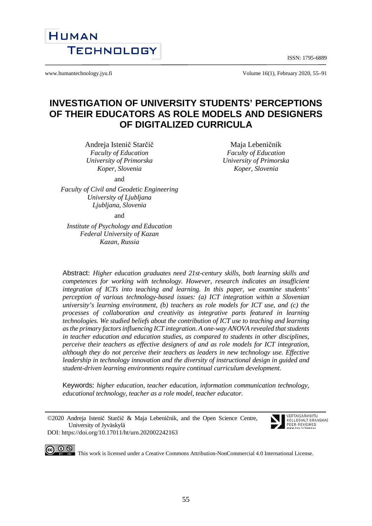ISSN: 1795-6889



www.humantechnology.jyu.fi Volume 16(1), February 2020, 55–91

# **INVESTIGATION OF UNIVERSITY STUDENTS' PERCEPTIONS OF THEIR EDUCATORS AS ROLE MODELS AND DESIGNERS OF DIGITALIZED CURRICULA**

Andreja Istenič Starčič *Faculty of Education University of Primorska Koper, Slovenia*

Maja Lebeničnik *Faculty of Education University of Primorska Koper, Slovenia*

and

*Faculty of Civil and Geodetic Engineering University of Ljubljana Ljubljana, Slovenia*

and

*Institute of Psychology and Education Federal University of Kazan Kazan, Russia*

Abstract: *Higher education graduates need 21st-century skills, both learning skills and competences for working with technology. However, research indicates an insufficient integration of ICTs into teaching and learning. In this paper, we examine students' perception of various technology-based issues: (a) ICT integration within a Slovenian university's learning environment, (b) teachers as role models for ICT use, and (c) the processes of collaboration and creativity as integrative parts featured in learning technologies. We studied beliefs about the contribution of ICT use to teaching and learning as the primary factors influencing ICT integration. A one-way ANOVA revealed that students in teacher education and education studies, as compared to students in other disciplines, perceive their teachers as effective designers of and as role models for ICT integration, although they do not perceive their teachers as leaders in new technology use. Effective leadership in technology innovation and the diversity of instructional design in guided and student-driven learning environments require continual curriculum development.*

Keywords: *higher education, teacher education, information communication technology, educational technology, teacher as a role model, teacher educator.* 

©2020 Andreja Istenič Starčič & Maja Lebeničnik, and the Open Science Centre, University of Jyväskylä DOI: https://doi.org/10.17011/ht/urn.202002242163



This work is licensed under [a Creative Commons Attribution-NonCommercial 4.0 International License.](http://creativecommons.org/licenses/by-nc/4.0/)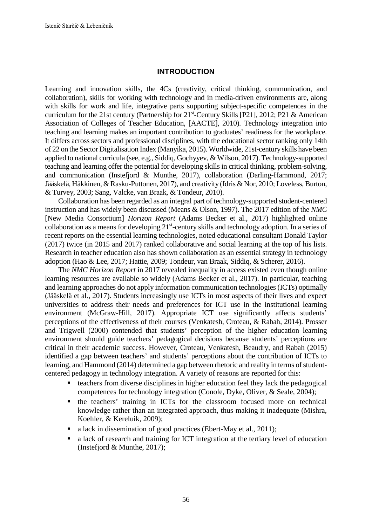### **INTRODUCTION**

Learning and innovation skills, the 4Cs (creativity, critical thinking, communication, and collaboration), skills for working with technology and in media-driven environments are, along with skills for work and life, integrative parts supporting subject-specific competences in the curriculum for the 21st century (Partnership for 21st-Century Skills [P21], 2012; P21 & American Association of Colleges of Teacher Education, [AACTE], 2010). Technology integration into teaching and learning makes an important contribution to graduates' readiness for the workplace. It differs across sectors and professional disciplines, with the educational sector ranking only 14th of 22 on the Sector Digitalisation Index (Manyika, 2015). Worldwide, 21st-century skills have been applied to national curricula (see, e.g., Siddiq, Gochyyev, & Wilson, 2017). Technology-supported teaching and learning offer the potential for developing skills in critical thinking, problem-solving, and communication (Instefjord & Munthe, 2017), collaboration (Darling-Hammond, 2017; Jääskelä, Häkkinen, & Rasku-Puttonen, 2017), and creativity (Idris & Nor, 2010; Loveless, Burton, & Turvey, 2003; Sang, Valcke, van Braak, & Tondeur, 2010).

Collaboration has been regarded as an integral part of technology-supported student-centered instruction and has widely been discussed (Means & Olson, 1997). The 2017 edition of the *NMC* [New Media Consortium] *Horizon Report* (Adams Becker et al., 2017) highlighted online collaboration as a means for developing 21<sup>st</sup>-century skills and technology adoption. In a series of recent reports on the essential learning technologies, noted educational consultant Donald Taylor (2017) twice (in 2015 and 2017) ranked collaborative and social learning at the top of his lists. Research in teacher education also has shown collaboration as an essential strategy in technology adoption (Hao & Lee, 2017; Hattie, 2009; Tondeur, van Braak, Siddiq, & Scherer, 2016).

The *NMC Horizon Report* in 2017 revealed inequality in access existed even though online learning resources are available so widely (Adams Becker et al., 2017). In particular, teaching and learning approaches do not apply information communication technologies (ICTs) optimally (Jääskelä et al., 2017). Students increasingly use ICTs in most aspects of their lives and expect universities to address their needs and preferences for ICT use in the institutional learning environment (McGraw-Hill, 2017). Appropriate ICT use significantly affects students' perceptions of the effectiveness of their courses (Venkatesh, Croteau, & Rabah, 2014). Prosser and Trigwell (2000) contended that students' perception of the higher education learning environment should guide teachers' pedagogical decisions because students' perceptions are critical in their academic success. However, Croteau, Venkatesh, Beaudry, and Rabah (2015) identified a gap between teachers' and students' perceptions about the contribution of ICTs to learning, and Hammond (2014) determined a gap between rhetoric and reality in terms of studentcentered pedagogy in technology integration. A variety of reasons are reported for this:

- $\blacksquare$  teachers from diverse disciplines in higher education feel they lack the pedagogical competences for technology integration (Conole, Dyke, Oliver, & Seale, 2004);
- the teachers' training in ICTs for the classroom focused more on technical knowledge rather than an integrated approach, thus making it inadequate (Mishra, Koehler, & Kereluik, 2009);
- a lack in dissemination of good practices (Ebert-May et al., 2011);
- a lack of research and training for ICT integration at the tertiary level of education (Instefjord & Munthe, 2017);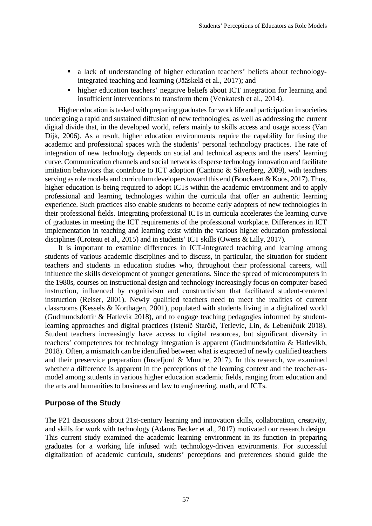- a lack of understanding of higher education teachers' beliefs about technologyintegrated teaching and learning (Jääskelä et al., 2017); and
- higher education teachers' negative beliefs about ICT integration for learning and insufficient interventions to transform them (Venkatesh et al., 2014).

Higher education is tasked with preparing graduates for work life and participation in societies undergoing a rapid and sustained diffusion of new technologies, as well as addressing the current digital divide that, in the developed world, refers mainly to skills access and usage access (Van Dijk, 2006). As a result, higher education environments require the capability for fusing the academic and professional spaces with the students' personal technology practices. The rate of integration of new technology depends on social and technical aspects and the users' learning curve. Communication channels and social networks disperse technology innovation and facilitate imitation behaviors that contribute to ICT adoption (Cantono & Silverberg, 2009), with teachers serving as role models and curriculum developers toward this end (Bouckaert & Koos, 2017). Thus, higher education is being required to adopt ICTs within the academic environment and to apply professional and learning technologies within the curricula that offer an authentic learning experience. Such practices also enable students to become early adopters of new technologies in their professional fields. Integrating professional ICTs in curricula accelerates the learning curve of graduates in meeting the ICT requirements of the professional workplace. Differences in ICT implementation in teaching and learning exist within the various higher education professional disciplines (Croteau et al., 2015) and in students' ICT skills (Owens & Lilly, 2017).

It is important to examine differences in ICT-integrated teaching and learning among students of various academic disciplines and to discuss, in particular, the situation for student teachers and students in education studies who, throughout their professional careers, will influence the skills development of younger generations. Since the spread of microcomputers in the 1980s, courses on instructional design and technology increasingly focus on computer-based instruction, influenced by cognitivism and constructivism that facilitated student-centered instruction (Reiser, 2001). Newly qualified teachers need to meet the realities of current classrooms (Kessels & Korthagen, 2001), populated with students living in a digitalized world (Gudmundsdottir & Hatlevik 2018), and to engage teaching pedagogies informed by studentlearning approaches and digital practices (Istenič Starčič, Terlevic, Lin, & Lebeničnik 2018). Student teachers increasingly have access to digital resources, but significant diversity in teachers' competences for technology integration is apparent (Gudmundsdottira & Hatlevikb, 2018). Often, a mismatch can be identified between what is expected of newly qualified teachers and their preservice preparation (Instefjord & Munthe, 2017). In this research, we examined whether a difference is apparent in the perceptions of the learning context and the teacher-asmodel among students in various higher education academic fields, ranging from education and the arts and humanities to business and law to engineering, math, and ICTs.

#### **Purpose of the Study**

The P21 discussions about 21st-century learning and innovation skills, collaboration, creativity, and skills for work with technology (Adams Becker et al., 2017) motivated our research design. This current study examined the academic learning environment in its function in preparing graduates for a working life infused with technology-driven environments. For successful digitalization of academic curricula, students' perceptions and preferences should guide the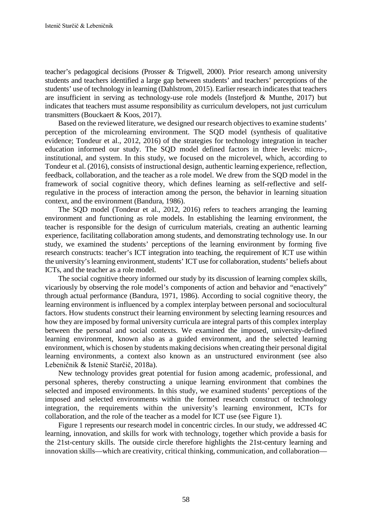teacher's pedagogical decisions (Prosser & Trigwell, 2000). Prior research among university students and teachers identified a large gap between students' and teachers' perceptions of the students' use of technology in learning (Dahlstrom, 2015). Earlier research indicates that teachers are insufficient in serving as technology-use role models (Instefjord & Munthe, 2017) but indicates that teachers must assume responsibility as curriculum developers, not just curriculum transmitters (Bouckaert & Koos, 2017).

Based on the reviewed literature, we designed our research objectives to examine students' perception of the microlearning environment. The SQD model (synthesis of qualitative evidence; Tondeur et al., 2012, 2016) of the strategies for technology integration in teacher education informed our study. The SQD model defined factors in three levels: micro-, institutional, and system. In this study, we focused on the microlevel, which, according to Tondeur et al. (2016), consists of instructional design, authentic learning experience, reflection, feedback, collaboration, and the teacher as a role model. We drew from the SQD model in the framework of social cognitive theory, which defines learning as self-reflective and selfregulative in the process of interaction among the person, the behavior in learning situation context, and the environment (Bandura, 1986).

The SQD model (Tondeur et al., 2012, 2016) refers to teachers arranging the learning environment and functioning as role models. In establishing the learning environment, the teacher is responsible for the design of curriculum materials, creating an authentic learning experience, facilitating collaboration among students, and demonstrating technology use. In our study, we examined the students' perceptions of the learning environment by forming five research constructs: teacher's ICT integration into teaching, the requirement of ICT use within the university's learning environment, students' ICT use for collaboration, students' beliefs about ICTs, and the teacher as a role model.

The social cognitive theory informed our study by its discussion of learning complex skills, vicariously by observing the role model's components of action and behavior and "enactively" through actual performance (Bandura, 1971, 1986). According to social cognitive theory, the learning environment is influenced by a complex interplay between personal and sociocultural factors. How students construct their learning environment by selecting learning resources and how they are imposed by formal university curricula are integral parts of this complex interplay between the personal and social contexts. We examined the imposed, university-defined learning environment, known also as a guided environment, and the selected learning environment, which is chosen by students making decisions when creating their personal digital learning environments, a context also known as an unstructured environment (see also Lebeničnik & Istenič Starčič, 2018a).

New technology provides great potential for fusion among academic, professional, and personal spheres, thereby constructing a unique learning environment that combines the selected and imposed environments. In this study, we examined students' perceptions of the imposed and selected environments within the formed research construct of technology integration, the requirements within the university's learning environment, ICTs for collaboration, and the role of the teacher as a model for ICT use (see Figure 1).

Figure 1 represents our research model in concentric circles. In our study, we addressed 4C learning, innovation, and skills for work with technology, together which provide a basis for the 21st-century skills. The outside circle therefore highlights the 21st-century learning and innovation skills—which are creativity, critical thinking, communication, and collaboration—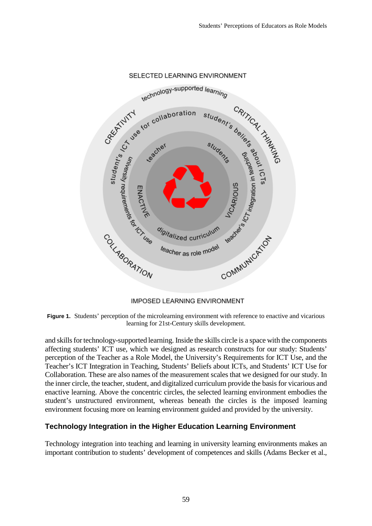

#### SELECTED LEARNING ENVIRONMENT

**IMPOSED LEARNING ENVIRONMENT** 

**Figure 1.** Students' perception of the microlearning environment with reference to enactive and vicarious learning for 21st-Century skills development.

and skills for technology-supported learning. Inside the skills circle is a space with the components affecting students' ICT use, which we designed as research constructs for our study: Students' perception of the Teacher as a Role Model, the University's Requirements for ICT Use, and the Teacher's ICT Integration in Teaching, Students' Beliefs about ICTs, and Students' ICT Use for Collaboration. These are also names of the measurement scales that we designed for our study. In the inner circle, the teacher, student, and digitalized curriculum provide the basis for vicarious and enactive learning. Above the concentric circles, the selected learning environment embodies the student's unstructured environment, whereas beneath the circles is the imposed learning environment focusing more on learning environment guided and provided by the university.

# **Technology Integration in the Higher Education Learning Environment**

Technology integration into teaching and learning in university learning environments makes an important contribution to students' development of competences and skills (Adams Becker et al.,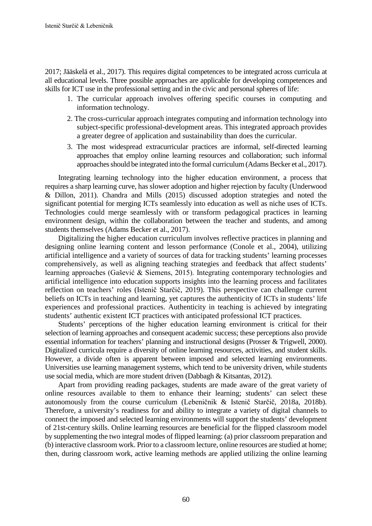2017; Jääskelä et al., 2017). This requires digital competences to be integrated across curricula at all educational levels. Three possible approaches are applicable for developing competences and skills for ICT use in the professional setting and in the civic and personal spheres of life:

- 1. The curricular approach involves offering specific courses in computing and information technology.
- 2. The cross-curricular approach integrates computing and information technology into subject-specific professional-development areas. This integrated approach provides a greater degree of application and sustainability than does the curricular.
- 3. The most widespread extracurricular practices are informal, self-directed learning approaches that employ online learning resources and collaboration; such informal approaches should be integrated into the formal curriculum (Adams Becker et al., 2017).

Integrating learning technology into the higher education environment, a process that requires a sharp learning curve, has slower adoption and higher rejection by faculty (Underwood & Dillon, 2011). Chandra and Mills (2015) discussed adoption strategies and noted the significant potential for merging ICTs seamlessly into education as well as niche uses of ICTs. Technologies could merge seamlessly with or transform pedagogical practices in learning environment design, within the collaboration between the teacher and students, and among students themselves (Adams Becker et al., 2017).

Digitalizing the higher education curriculum involves reflective practices in planning and designing online learning content and lesson performance (Conole et al., 2004), utilizing artificial intelligence and a variety of sources of data for tracking students' learning processes comprehensively, as well as aligning teaching strategies and feedback that affect students' learning approaches (Gašević & Siemens, 2015). Integrating contemporary technologies and artificial intelligence into education supports insights into the learning process and facilitates reflection on teachers' roles (Istenič Starčič, 2019). This perspective can challenge current beliefs on ICTs in teaching and learning, yet captures the authenticity of ICTs in students' life experiences and professional practices. Authenticity in teaching is achieved by integrating students' authentic existent ICT practices with anticipated professional ICT practices.

Students' perceptions of the higher education learning environment is critical for their selection of learning approaches and consequent academic success; these perceptions also provide essential information for teachers' planning and instructional designs (Prosser & Trigwell, 2000). Digitalized curricula require a diversity of online learning resources, activities, and student skills. However, a divide often is apparent between imposed and selected learning environments. Universities use learning management systems, which tend to be university driven, while students use social media, which are more student driven (Dabbagh & Kitsantas, 2012).

Apart from providing reading packages, students are made aware of the great variety of online resources available to them to enhance their learning; students' can select these autonomously from the course curriculum (Lebeničnik & Istenič Starčič, 2018a, 2018b). Therefore, a university's readiness for and ability to integrate a variety of digital channels to connect the imposed and selected learning environments will support the students' development of 21st-century skills. Online learning resources are beneficial for the flipped classroom model by supplementing the two integral modes of flipped learning: (a) prior classroom preparation and (b) interactive classroom work. Prior to a classroom lecture, online resources are studied at home; then, during classroom work, active learning methods are applied utilizing the online learning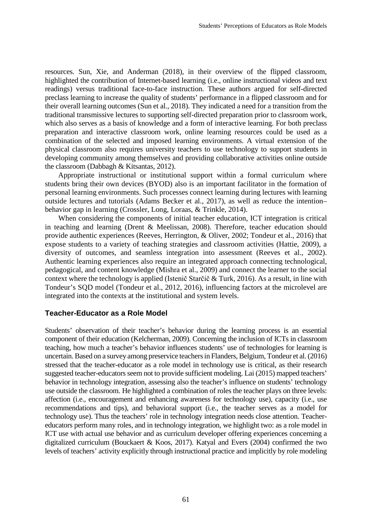resources. Sun, Xie, and Anderman (2018), in their overview of the flipped classroom, highlighted the contribution of Internet-based learning (i.e., online instructional videos and text readings) versus traditional face-to-face instruction. These authors argued for self-directed preclass learning to increase the quality of students' performance in a flipped classroom and for their overall learning outcomes (Sun et al., 2018). They indicated a need for a transition from the traditional transmissive lectures to supporting self-directed preparation prior to classroom work, which also serves as a basis of knowledge and a form of interactive learning. For both preclass preparation and interactive classroom work, online learning resources could be used as a combination of the selected and imposed learning environments. A virtual extension of the physical classroom also requires university teachers to use technology to support students in developing community among themselves and providing collaborative activities online outside the classroom (Dabbagh & Kitsantas, 2012).

Appropriate instructional or institutional support within a formal curriculum where students bring their own devices (BYOD) also is an important facilitator in the formation of personal learning environments. Such processes connect learning during lectures with learning outside lectures and tutorials (Adams Becker et al., 2017), as well as reduce the intention– behavior gap in learning (Crossler, Long, Loraas, & Trinkle, 2014).

When considering the components of initial teacher education, ICT integration is critical in teaching and learning (Drent & Meelissan, 2008). Therefore, teacher education should provide authentic experiences (Reeves, Herrington, & Oliver, 2002; Tondeur et al., 2016) that expose students to a variety of teaching strategies and classroom activities (Hattie, 2009), a diversity of outcomes, and seamless integration into assessment (Reeves et al., 2002). Authentic learning experiences also require an integrated approach connecting technological, pedagogical, and content knowledge (Mishra et al., 2009) and connect the learner to the social context where the technology is applied (Istenič Starčič & Turk, 2016). As a result, in line with Tondeur's SQD model (Tondeur et al., 2012, 2016), influencing factors at the microlevel are integrated into the contexts at the institutional and system levels.

# **Teacher-Educator as a Role Model**

Students' observation of their teacher's behavior during the learning process is an essential component of their education (Kelcherman, 2009). Concerning the inclusion of ICTs in classroom teaching, how much a teacher's behavior influences students' use of technologies for learning is uncertain. Based on a survey among preservice teachers in Flanders, Belgium, Tondeur et al. (2016) stressed that the teacher-educator as a role model in technology use is critical, as their research suggested teacher-educators seem not to provide sufficient modeling. Lai (2015) mapped teachers' behavior in technology integration, assessing also the teacher's influence on students' technology use outside the classroom. He highlighted a combination of roles the teacher plays on three levels: affection (i.e., encouragement and enhancing awareness for technology use), capacity (i.e., use recommendations and tips), and behavioral support (i.e., the teacher serves as a model for technology use). Thus the teachers' role in technology integration needs close attention. Teachereducators perform many roles, and in technology integration, we highlight two: as a role model in ICT use with actual use behavior and as curriculum developer offering experiences concerning a digitalized curriculum (Bouckaert & Koos, 2017). Katyal and Evers (2004) confirmed the two levels of teachers' activity explicitly through instructional practice and implicitly by role modeling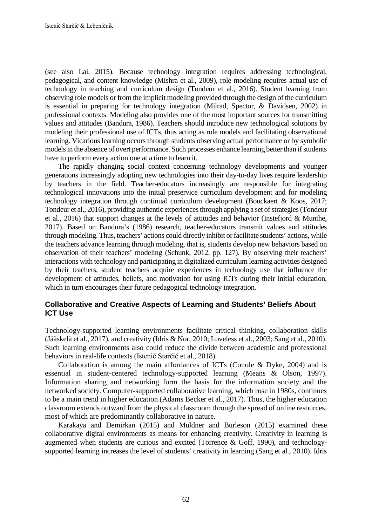(see also Lai, 2015). Because technology integration requires addressing technological, pedagogical, and content knowledge (Mishra et al., 2009), role modeling requires actual use of technology in teaching and curriculum design (Tondeur et al., 2016). Student learning from observing role models or from the implicit modeling provided through the design of the curriculum is essential in preparing for technology integration (Milrad, Spector, & Davidsen, 2002) in professional contexts. Modeling also provides one of the most important sources for transmitting values and attitudes (Bandura, 1986). Teachers should introduce new technological solutions by modeling their professional use of ICTs, thus acting as role models and facilitating observational learning. Vicarious learning occurs through students observing actual performance or by symbolic models in the absence of overt performance. Such processes enhance learning better than if students have to perform every action one at a time to learn it.

The rapidly changing social context concerning technology developments and younger generations increasingly adopting new technologies into their day-to-day lives require leadership by teachers in the field. Teacher-educators increasingly are responsible for integrating technological innovations into the initial preservice curriculum development and for modeling technology integration through continual curriculum development (Bouckaert & Koos, 2017; Tondeur et al., 2016), providing authentic experiences through applying a set of strategies (Tondeur et al., 2016) that support changes at the levels of attitudes and behavior (Instefjord & Munthe, 2017). Based on Bandura's (1986) research, teacher-educators transmit values and attitudes through modeling. Thus, teachers' actions could directly inhibit or facilitate students' actions, while the teachers advance learning through modeling, that is, students develop new behaviors based on observation of their teachers' modeling (Schunk, 2012, pp. 127). By observing their teachers' interactions with technology and participating in digitalized curriculum learning activities designed by their teachers, student teachers acquire experiences in technology use that influence the development of attitudes, beliefs, and motivation for using ICTs during their initial education, which in turn encourages their future pedagogical technology integration.

# **Collaborative and Creative Aspects of Learning and Students' Beliefs About ICT Use**

Technology-supported learning environments facilitate critical thinking, collaboration skills (Jääskelä et al., 2017), and creativity (Idris & Nor, 2010; Loveless et al., 2003; Sang et al., 2010). Such learning environments also could reduce the divide between academic and professional behaviors in real-life contexts (Istenič Starčič et al., 2018).

Collaboration is among the main affordances of ICTs (Conole & Dyke, 2004) and is essential in student-centered technology-supported learning (Means & Olson, 1997). Information sharing and networking form the basis for the information society and the networked society. Computer-supported collaborative learning, which rose in 1980s, continues to be a main trend in higher education (Adams Becker et al., 2017). Thus, the higher education classroom extends outward from the physical classroom through the spread of online resources, most of which are predominantly collaborative in nature.

Karakaya and Demirkan (2015) and Muldner and Burleson (2015) examined these collaborative digital environments as means for enhancing creativity. Creativity in learning is augmented when students are curious and excited (Torrence & Goff, 1990), and technologysupported learning increases the level of students' creativity in learning (Sang et al., 2010). Idris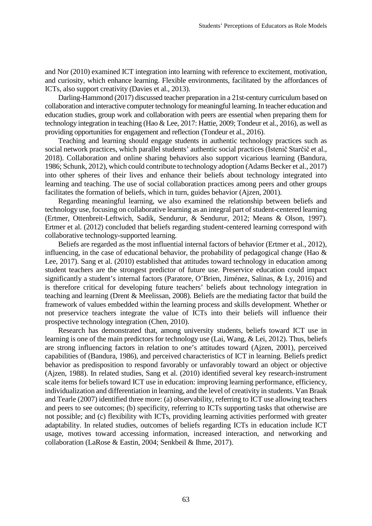and Nor (2010) examined ICT integration into learning with reference to excitement, motivation, and curiosity, which enhance learning. Flexible environments, facilitated by the affordances of ICTs, also support creativity (Davies et al., 2013).

Darling-Hammond (2017) discussed teacher preparation in a 21st-century curriculum based on collaboration and interactive computer technology for meaningful learning. In teacher education and education studies, group work and collaboration with peers are essential when preparing them for technology integration in teaching (Hao & Lee, 2017: Hattie, 2009; Tondeur et al., 2016), as well as providing opportunities for engagement and reflection (Tondeur et al., 2016).

Teaching and learning should engage students in authentic technology practices such as social network practices, which parallel students' authentic social practices (Istenič Starčič et al., 2018). Collaboration and online sharing behaviors also support vicarious learning (Bandura, 1986; Schunk, 2012), which could contribute to technology adoption (Adams Becker et al., 2017) into other spheres of their lives and enhance their beliefs about technology integrated into learning and teaching. The use of social collaboration practices among peers and other groups facilitates the formation of beliefs, which in turn, guides behavior (Ajzen, 2001).

Regarding meaningful learning, we also examined the relationship between beliefs and technology use, focusing on collaborative learning as an integral part of student-centered learning (Ertmer, Ottenbreit-Leftwich, Sadik, Sendurur, & Sendurur, 2012; Means & Olson, 1997). Ertmer et al. (2012) concluded that beliefs regarding student-centered learning correspond with collaborative technology-supported learning.

Beliefs are regarded as the most influential internal factors of behavior (Ertmer et al., 2012), influencing, in the case of educational behavior, the probability of pedagogical change (Hao & Lee, 2017). Sang et al. (2010) established that attitudes toward technology in education among student teachers are the strongest predictor of future use. Preservice education could impact significantly a student's internal factors (Paratore, O'Brien, Jiménez, Salinas, & Ly, 2016) and is therefore critical for developing future teachers' beliefs about technology integration in teaching and learning (Drent & Meelissan, 2008). Beliefs are the mediating factor that build the framework of values embedded within the learning process and skills development. Whether or not preservice teachers integrate the value of ICTs into their beliefs will influence their prospective technology integration (Chen, 2010).

Research has demonstrated that, among university students, beliefs toward ICT use in learning is one of the main predictors for technology use (Lai, Wang, & Lei, 2012). Thus, beliefs are strong influencing factors in relation to one's attitudes toward (Ajzen, 2001), perceived capabilities of (Bandura, 1986), and perceived characteristics of ICT in learning. Beliefs predict behavior as predisposition to respond favorably or unfavorably toward an object or objective (Ajzen, 1988). In related studies, Sang et al. (2010) identified several key research-instrument scale items for beliefs toward ICT use in education: improving learning performance, efficiency, individualization and differentiation in learning, and the level of creativity in students. Van Braak and Tearle (2007) identified three more: (a) observability, referring to ICT use allowing teachers and peers to see outcomes; (b) specificity, referring to ICTs supporting tasks that otherwise are not possible; and (c) flexibility with ICTs, providing learning activities performed with greater adaptability. In related studies, outcomes of beliefs regarding ICTs in education include ICT usage, motives toward accessing information, increased interaction, and networking and collaboration (LaRose & Eastin, 2004; Senkbeil & Ihme, 2017).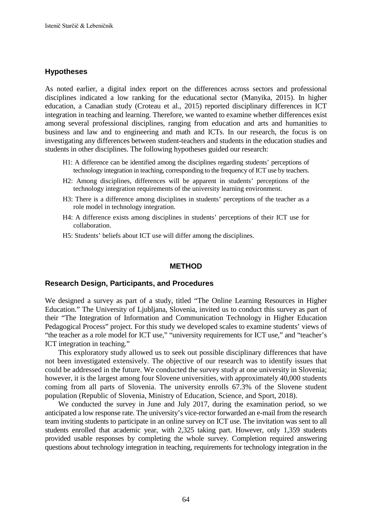### **Hypotheses**

As noted earlier, a digital index report on the differences across sectors and professional disciplines indicated a low ranking for the educational sector (Manyika, 2015). In higher education, a Canadian study (Croteau et al., 2015) reported disciplinary differences in ICT integration in teaching and learning. Therefore, we wanted to examine whether differences exist among several professional disciplines, ranging from education and arts and humanities to business and law and to engineering and math and ICTs. In our research, the focus is on investigating any differences between student-teachers and students in the education studies and students in other disciplines. The following hypotheses guided our research:

- H1: A difference can be identified among the disciplines regarding students' perceptions of technology integration in teaching, corresponding to the frequency of ICT use by teachers.
- H2: Among disciplines, differences will be apparent in students' perceptions of the technology integration requirements of the university learning environment.
- H3: There is a difference among disciplines in students' perceptions of the teacher as a role model in technology integration.
- H4: A difference exists among disciplines in students' perceptions of their ICT use for collaboration.
- H5: Students' beliefs about ICT use will differ among the disciplines.

### **METHOD**

### **Research Design, Participants, and Procedures**

We designed a survey as part of a study, titled "The Online Learning Resources in Higher Education." The University of Ljubljana, Slovenia, invited us to conduct this survey as part of their "The Integration of Information and Communication Technology in Higher Education Pedagogical Process" project. For this study we developed scales to examine students' views of "the teacher as a role model for ICT use," "university requirements for ICT use," and "teacher's ICT integration in teaching."

This exploratory study allowed us to seek out possible disciplinary differences that have not been investigated extensively. The objective of our research was to identify issues that could be addressed in the future. We conducted the survey study at one university in Slovenia; however, it is the largest among four Slovene universities, with approximately 40,000 students coming from all parts of Slovenia. The university enrolls 67.3% of the Slovene student population (Republic of Slovenia, Ministry of Education, Science, and Sport, 2018).

We conducted the survey in June and July 2017, during the examination period, so we anticipated a low response rate. The university's vice-rector forwarded an e-mail from the research team inviting students to participate in an online survey on ICT use. The invitation was sent to all students enrolled that academic year, with 2,325 taking part. However, only 1,359 students provided usable responses by completing the whole survey. Completion required answering questions about technology integration in teaching, requirements for technology integration in the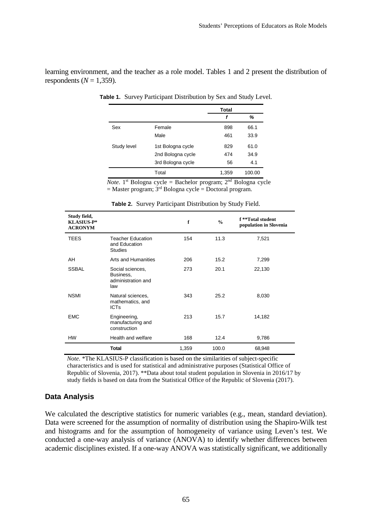learning environment, and the teacher as a role model. Tables 1 and 2 present the distribution of respondents  $(N = 1,359)$ .

|             |                   | <b>Total</b> |        |
|-------------|-------------------|--------------|--------|
|             |                   | f            | %      |
| Sex         | Female            | 898          | 66.1   |
|             | Male              | 461          | 33.9   |
| Study level | 1st Bologna cycle | 829          | 61.0   |
|             | 2nd Bologna cycle | 474          | 34.9   |
|             | 3rd Bologna cycle | 56           | 4.1    |
|             | Total             | 1,359        | 100.00 |

**Table 1.** Survey Participant Distribution by Sex and Study Level.

*Note*. 1<sup>st</sup> Bologna cycle = Bachelor program;  $2<sup>nd</sup>$  Bologna cycle  $=$  Master program;  $3<sup>rd</sup>$  Bologna cycle  $=$  Doctoral program.

| Study field,<br><b>KLASIUS-P*</b><br><b>ACRONYM</b> |                                                             | f     | $\frac{0}{0}$ | f **Total student<br>population in Slovenia |
|-----------------------------------------------------|-------------------------------------------------------------|-------|---------------|---------------------------------------------|
| TEES                                                | <b>Teacher Education</b><br>and Education<br><b>Studies</b> | 154   | 11.3          | 7,521                                       |
| AH                                                  | Arts and Humanities                                         | 206   | 15.2          | 7,299                                       |
| <b>SSBAL</b>                                        | Social sciences,<br>Business,<br>administration and<br>law  | 273   | 20.1          | 22,130                                      |
| <b>NSMI</b>                                         | Natural sciences,<br>mathematics, and<br><b>ICTs</b>        | 343   | 25.2          | 8,030                                       |
| <b>EMC</b>                                          | Engineering,<br>manufacturing and<br>construction           | 213   | 15.7          | 14,182                                      |
| HW                                                  | Health and welfare                                          | 168   | 12.4          | 9,786                                       |
|                                                     | <b>Total</b>                                                | 1,359 | 100.0         | 68,948                                      |

**Table 2.** Survey Participant Distribution by Study Field.

*Note*. \*The KLASIUS-P classification is based on the similarities of subject-specific characteristics and is used for statistical and administrative purposes (Statistical Office of Republic of Slovenia, 2017). \*\*Data about total student population in Slovenia in 2016/17 by study fields is based on data from the Statistical Office of the Republic of Slovenia (2017).

### **Data Analysis**

We calculated the descriptive statistics for numeric variables (e.g., mean, standard deviation). Data were screened for the assumption of normality of distribution using the Shapiro-Wilk test and histograms and for the assumption of homogeneity of variance using Leven's test. We conducted a one-way analysis of variance (ANOVA) to identify whether differences between academic disciplines existed. If a one-way ANOVA was statistically significant, we additionally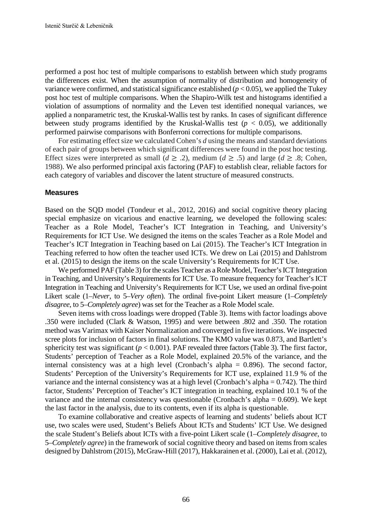performed a post hoc test of multiple comparisons to establish between which study programs the differences exist. When the assumption of normality of distribution and homogeneity of variance were confirmed, and statistical significance established  $(p < 0.05)$ , we applied the Tukey post hoc test of multiple comparisons. When the Shapiro-Wilk test and histograms identified a violation of assumptions of normality and the Leven test identified nonequal variances, we applied a nonparametric test, the Kruskal-Wallis test by ranks. In cases of significant difference between study programs identified by the Kruskal-Wallis test  $(p < 0.05)$ , we additionally performed pairwise comparisons with Bonferroni corrections for multiple comparisons.

For estimating effect size we calculated Cohen's *d* using the means and standard deviations of each pair of groups between which significant differences were found in the post hoc testing. Effect sizes were interpreted as small ( $d \ge 0.2$ ), medium ( $d \ge 0.5$ ) and large ( $d \ge 0.8$ ; Cohen, 1988). We also performed principal axis factoring (PAF) to establish clear, reliable factors for each category of variables and discover the latent structure of measured constructs.

#### **Measures**

Based on the SQD model (Tondeur et al., 2012, 2016) and social cognitive theory placing special emphasize on vicarious and enactive learning, we developed the following scales: Teacher as a Role Model, Teacher's ICT Integration in Teaching, and University's Requirements for ICT Use. We designed the items on the scales Teacher as a Role Model and Teacher's ICT Integration in Teaching based on Lai (2015). The Teacher's ICT Integration in Teaching referred to how often the teacher used ICTs. We drew on Lai (2015) and Dahlstrom et al. (2015) to design the items on the scale University's Requirements for ICT Use.

We performed PAF (Table 3) for the scales Teacher as a Role Model, Teacher's ICT Integration in Teaching, and University's Requirements for ICT Use. To measure frequency for Teacher's ICT Integration in Teaching and University's Requirements for ICT Use, we used an ordinal five-point Likert scale (1–*Never*, to 5–*Very often*). The ordinal five-point Likert measure (1–*Completely disagree*, to 5–*Completely agree*) was set for the Teacher as a Role Model scale.

Seven items with cross loadings were dropped (Table 3). Items with factor loadings above .350 were included (Clark & Watson, 1995) and were between .802 and .350. The rotation method was Varimax with Kaiser Normalization and converged in five iterations. We inspected scree plots for inclusion of factors in final solutions. The KMO value was 0.873, and Bartlett's sphericity test was significant ( $p < 0.001$ ). PAF revealed three factors (Table 3). The first factor, Students' perception of Teacher as a Role Model, explained 20.5% of the variance, and the internal consistency was at a high level (Cronbach's alpha = 0.896). The second factor, Students' Perception of the University's Requirements for ICT use, explained 11.9 % of the variance and the internal consistency was at a high level (Cronbach's alpha = 0.742). The third factor, Students' Perception of Teacher's ICT integration in teaching, explained 10.1 % of the variance and the internal consistency was questionable (Cronbach's alpha = 0.609). We kept the last factor in the analysis, due to its contents, even if its alpha is questionable.

To examine collaborative and creative aspects of learning and students' beliefs about ICT use, two scales were used, Student's Beliefs About ICTs and Students' ICT Use. We designed the scale Student's Beliefs about ICTs with a five-point Likert scale (1–*Completely disagree*, to 5–*Completely agree*) in the framework of social cognitive theory and based on items from scales designed by Dahlstrom (2015), McGraw-Hill (2017), Hakkarainen et al. (2000), Lai et al. (2012),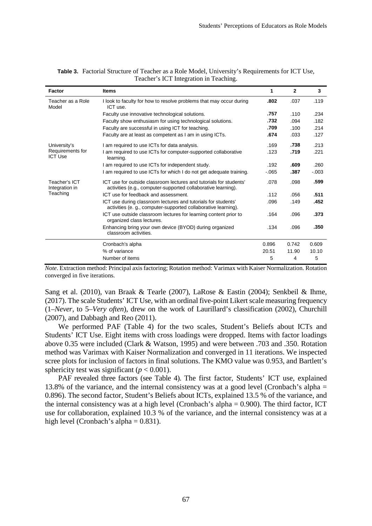| Factor                             | <b>Items</b>                                                                                                                        | 1        | $\mathbf{2}$ | 3       |
|------------------------------------|-------------------------------------------------------------------------------------------------------------------------------------|----------|--------------|---------|
| Teacher as a Role<br>Model         | I look to faculty for how to resolve problems that may occur during<br>ICT use.                                                     | .802     | .037         | .119    |
|                                    | Faculty use innovative technological solutions.                                                                                     | .757     | .110         | .234    |
|                                    | Faculty show enthusiasm for using technological solutions.                                                                          | .732     | .094         | .182    |
|                                    | Faculty are successful in using ICT for teaching.                                                                                   | .709     | .100         | .214    |
|                                    | Faculty are at least as competent as I am in using ICTs.                                                                            | .674     | .033         | .127    |
| University's                       | I am required to use ICTs for data analysis.                                                                                        | .169     | .738         | .213    |
| Requirements for<br><b>ICT Use</b> | I am required to use ICTs for computer-supported collaborative<br>learning.                                                         | .123     | .719         | .221    |
|                                    | I am required to use ICTs for independent study.                                                                                    | .192     | .609         | .260    |
|                                    | I am required to use ICTs for which I do not get adequate training.                                                                 | $-0.065$ | .387         | $-.003$ |
| Teacher's ICT<br>Integration in    | ICT use for outside classroom lectures and tutorials for students'<br>activities (e.g., computer-supported collaborative learning). | .078     | .098         | .599    |
| Teaching                           | ICT use for feedback and assessment.                                                                                                | .112     | .056         | .511    |
|                                    | ICT use during classroom lectures and tutorials for students'<br>activities (e. g., computer-supported collaborative learning).     | .096     | .149         | .452    |
|                                    | ICT use outside classroom lectures for learning content prior to<br>organized class lectures.                                       | .164     | .096         | .373    |
|                                    | Enhancing bring your own device (BYOD) during organized<br>classroom activities.                                                    | .134     | .096         | .350    |
|                                    | Cronbach's alpha                                                                                                                    | 0.896    | 0.742        | 0.609   |
|                                    | % of variance                                                                                                                       | 20.51    | 11.90        | 10.10   |
|                                    | Number of items                                                                                                                     | 5        | 4            | 5       |

| Table 3. Factorial Structure of Teacher as a Role Model, University's Requirements for ICT Use, |
|-------------------------------------------------------------------------------------------------|
| Teacher's ICT Integration in Teaching.                                                          |

*Note*. Extraction method: Principal axis factoring; Rotation method: Varimax with Kaiser Normalization. Rotation converged in five iterations.

Sang et al. (2010), van Braak & Tearle (2007), LaRose & Eastin (2004); Senkbeil & Ihme, (2017). The scale Students' ICT Use, with an ordinal five-point Likert scale measuring frequency (1–*Never*, to 5–*Very often*), drew on the work of Laurillard's classification (2002), Churchill (2007), and Dabbagh and Reo (2011).

We performed PAF (Table 4) for the two scales, Student's Beliefs about ICTs and Students' ICT Use. Eight items with cross loadings were dropped. Items with factor loadings above 0.35 were included (Clark & Watson, 1995) and were between .703 and .350. Rotation method was Varimax with Kaiser Normalization and converged in 11 iterations. We inspected scree plots for inclusion of factors in final solutions. The KMO value was 0.953, and Bartlett's sphericity test was significant ( $p < 0.001$ ).

PAF revealed three factors (see Table 4). The first factor, Students' ICT use, explained 13.8% of the variance, and the internal consistency was at a good level (Cronbach's alpha = 0.896). The second factor, Student's Beliefs about ICTs, explained 13.5 % of the variance, and the internal consistency was at a high level (Cronbach's alpha = 0.900). The third factor, ICT use for collaboration, explained 10.3 % of the variance, and the internal consistency was at a high level (Cronbach's alpha  $= 0.831$ ).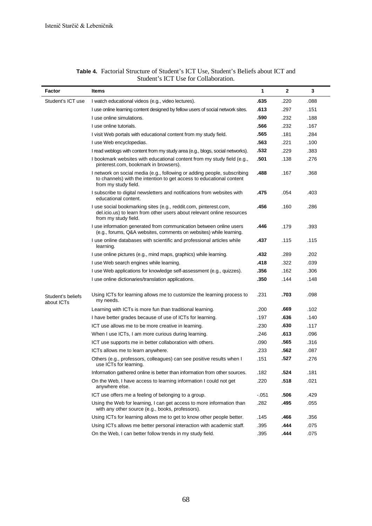| Factor                          | <b>Items</b>                                                                                                                                                             | 1       | $\mathbf{2}$ | 3    |
|---------------------------------|--------------------------------------------------------------------------------------------------------------------------------------------------------------------------|---------|--------------|------|
| Student's ICT use               | I watch educational videos (e.g., video lectures).                                                                                                                       | .635    | .220         | .088 |
|                                 | I use online learning content designed by fellow users of social network sites.                                                                                          | .613    | .297         | .151 |
|                                 | I use online simulations.                                                                                                                                                | .590    | .232         | .188 |
|                                 | I use online tutorials.                                                                                                                                                  | .566    | .232         | .167 |
|                                 | I visit Web portals with educational content from my study field.                                                                                                        | .565    | .181         | .284 |
|                                 | I use Web encyclopedias.                                                                                                                                                 | .563    | .221         | .100 |
|                                 | I read weblogs with content from my study area (e.g., blogs, social networks).                                                                                           | .532    | .229         | .383 |
|                                 | I bookmark websites with educational content from my study field (e.g.,<br>pinterest.com, bookmark in browsers).                                                         | .501    | .138         | .276 |
|                                 | I network on social media (e.g., following or adding people, subscribing<br>to channels) with the intention to get access to educational content<br>from my study field. | .488    | .167         | .368 |
|                                 | I subscribe to digital newsletters and notifications from websites with<br>educational content.                                                                          | .475    | .054         | .403 |
|                                 | I use social bookmarking sites (e.g., reddit.com, pinterest.com,<br>del.icio.us) to learn from other users about relevant online resources<br>from my study field.       | .456    | .160         | .286 |
|                                 | I use information generated from communication between online users<br>(e.g., forums, Q&A websites, comments on websites) while learning.                                | .446    | .179         | .393 |
|                                 | I use online databases with scientific and professional articles while<br>learning.                                                                                      | .437    | .115         | .115 |
|                                 | I use online pictures (e.g., mind maps, graphics) while learning.                                                                                                        | .432    | .289         | .202 |
|                                 | I use Web search engines while learning.                                                                                                                                 | .418    | .322         | .039 |
|                                 | I use Web applications for knowledge self-assessment (e.g., quizzes).                                                                                                    | .356    | .162         | .306 |
|                                 | I use online dictionaries/translation applications.                                                                                                                      | .350    | .144         | .148 |
| Student's beliefs<br>about ICTs | Using ICTs for learning allows me to customize the learning process to<br>my needs.                                                                                      | .231    | .703         | .098 |
|                                 | Learning with ICTs is more fun than traditional learning.                                                                                                                | .200    | .669         | .102 |
|                                 | I have better grades because of use of ICTs for learning.                                                                                                                | .197    | .636         | .140 |
|                                 | ICT use allows me to be more creative in learning.                                                                                                                       | .230    | .630         | .117 |
|                                 | When I use ICTs, I am more curious during learning.                                                                                                                      | .246    | .613         | .096 |
|                                 | ICT use supports me in better collaboration with others.                                                                                                                 | .090    | .565         | .316 |
|                                 | ICTs allows me to learn anywhere.                                                                                                                                        | .233    | .562         | .087 |
|                                 | Others (e.g., professors, colleagues) can see positive results when I<br>use ICTs for learning.                                                                          | .151    | .527         | .276 |
|                                 | Information gathered online is better than information from other sources.                                                                                               | .182    | .524         | .181 |
|                                 | On the Web, I have access to learning information I could not get<br>anywhere else.                                                                                      | .220    | .518         | .021 |
|                                 | ICT use offers me a feeling of belonging to a group.                                                                                                                     | $-.051$ | .506         | .429 |
|                                 | Using the Web for learning, I can get access to more information than<br>with any other source (e.g., books, professors).                                                | .282    | .495         | .055 |
|                                 | Using ICTs for learning allows me to get to know other people better.                                                                                                    | .145    | .466         | .356 |
|                                 | Using ICTs allows me better personal interaction with academic staff.                                                                                                    | .395    | .444         | .075 |
|                                 | On the Web, I can better follow trends in my study field.                                                                                                                | .395    | .444         | .075 |

#### **Table 4.** Factorial Structure of Student's ICT Use, Student's Beliefs about ICT and Student's ICT Use for Collaboration.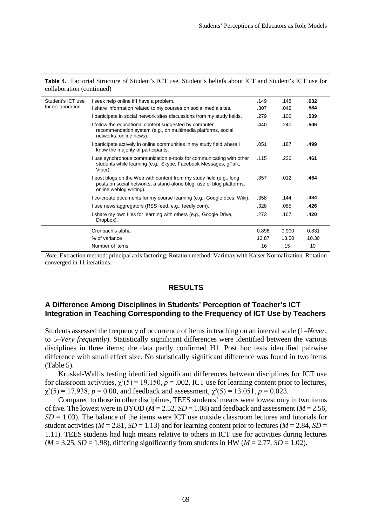| Table 4. Factorial Structure of Student's ICT use, Student's beliefs about ICT and Student's ICT use for |  |  |  |
|----------------------------------------------------------------------------------------------------------|--|--|--|
| collaboration (continued)                                                                                |  |  |  |

| Student's ICT use | I seek help online if I have a problem.                                                                                                                                 | .149  | .148  | .632  |
|-------------------|-------------------------------------------------------------------------------------------------------------------------------------------------------------------------|-------|-------|-------|
| for collaboration | I share information related to my courses on social media sites.                                                                                                        | .307  | .042  | .584  |
|                   | I participate in social network sites discussions from my study fields.                                                                                                 | .279  | .106  | .539  |
|                   | I follow the educational content suggested by computer<br>recommendation system (e.g., on multimedia platforms, social<br>networks, online news).                       | .440  | .240  | .506  |
|                   | I participate actively in online communities in my study field where I<br>know the majority of participants.                                                            | .051  | .187  | .499  |
|                   | I use synchronous communication e-tools for communicating with other<br>students while learning (e.g., Skype, Facebook Messages, gTalk,<br>Viber).                      | .115  | .226  | .461  |
|                   | I post blogs on the Web with content from my study field (e.g., long<br>posts on social networks, a stand-alone blog, use of blog platforms,<br>online weblog writing). | .357  | .012  | .454  |
|                   | I co-create documents for my course learning (e.g., Google docs, Wiki).                                                                                                 | .358  | .144  | .434  |
|                   | I use news aggregators (RSS feed, e.g., feedly.com).                                                                                                                    | .328  | .085  | .426  |
|                   | I share my own files for learning with others (e.g., Google Drive,<br>Dropbox).                                                                                         | .273  | .167  | .420  |
|                   | Cronbach's alpha                                                                                                                                                        | 0.896 | 0.900 | 0.831 |
|                   | % of variance                                                                                                                                                           | 13.87 | 13.50 | 10.30 |
|                   | Number of items                                                                                                                                                         | 16    | 15    | 10    |

*Note*. Extraction method: principal axis factoring; Rotation method: Varimax with Kaiser Normalization. Rotation converged in 11 iterations.

### **RESULTS**

### **A Difference Among Disciplines in Students' Perception of Teacher's ICT Integration in Teaching Corresponding to the Frequency of ICT Use by Teachers**

Students assessed the frequency of occurrence of items in teaching on an interval scale (1–*Never*, to 5–*Very frequently*). Statistically significant differences were identified between the various disciplines in three items; the data partly confirmed H1. Post hoc tests identified pairwise difference with small effect size. No statistically significant difference was found in two items (Table 5).

Kruskal-Wallis testing identified significant differences between disciplines for ICT use for classroom activities,  $\chi^2(5) = 19.150$ ,  $p = .002$ , ICT use for learning content prior to lectures,  $\chi^2(5) = 17.938$ ,  $p = 0.00$ , and feedback and assessment,  $\chi^2(5) = 13.051$ ,  $p = 0.023$ .

Compared to those in other disciplines, TEES students' means were lowest only in two items of five. The lowest were in BYOD ( $M = 2.52$ ,  $SD = 1.08$ ) and feedback and assessment ( $M = 2.56$ ,  $SD = 1.03$ ). The balance of the items were ICT use outside classroom lectures and tutorials for student activities ( $M = 2.81$ ,  $SD = 1.13$ ) and for learning content prior to lectures ( $M = 2.84$ ,  $SD =$ 1.11). TEES students had high means relative to others in ICT use for activities during lectures  $(M = 3.25, SD = 1.98)$ , differing significantly from students in HW  $(M = 2.77, SD = 1.02)$ .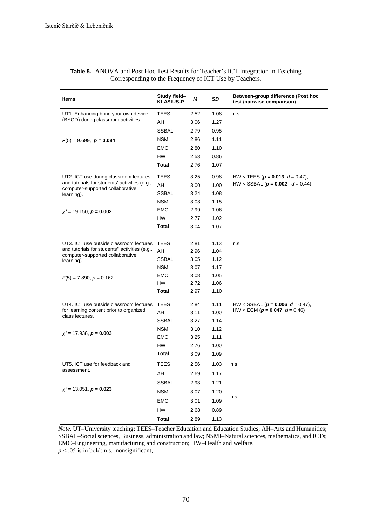| Items                                                                             | Study field-<br><b>KLASIUS-P</b> | М    | SD   | Between-group difference (Post hoc<br>test /pairwise comparison) |
|-----------------------------------------------------------------------------------|----------------------------------|------|------|------------------------------------------------------------------|
| UT1. Enhancing bring your own device                                              | <b>TEES</b>                      | 2.52 | 1.08 | n.s.                                                             |
| (BYOD) during classroom activities.                                               | AH                               | 3.06 | 1.27 |                                                                  |
|                                                                                   | <b>SSBAL</b>                     | 2.79 | 0.95 |                                                                  |
| $F(5) = 9.699$ , $p = 0.084$                                                      | <b>NSMI</b>                      | 2.86 | 1.11 |                                                                  |
|                                                                                   | <b>EMC</b>                       | 2.80 | 1.10 |                                                                  |
|                                                                                   | HW                               | 2.53 | 0.86 |                                                                  |
|                                                                                   | Total                            | 2.76 | 1.07 |                                                                  |
| UT2. ICT use during classroom lectures                                            | <b>TEES</b>                      | 3.25 | 0.98 | HW < TEES ( $p = 0.013$ , $d = 0.47$ ),                          |
| and tutorials for students' activities (e.g.,                                     | AH                               | 3.00 | 1.00 | HW < SSBAL ( $p = 0.002$ , $d = 0.44$ )                          |
| computer-supported collaborative<br>learning).                                    | <b>SSBAL</b>                     | 3.24 | 1.08 |                                                                  |
|                                                                                   | <b>NSMI</b>                      | 3.03 | 1.15 |                                                                  |
| $\chi^2$ = 19.150, <b>p</b> = <b>0.002</b>                                        | <b>EMC</b>                       | 2.99 | 1.06 |                                                                  |
|                                                                                   | HW                               | 2.77 | 1.02 |                                                                  |
|                                                                                   | Total                            | 3.04 | 1.07 |                                                                  |
|                                                                                   |                                  |      |      |                                                                  |
| UT3. ICT use outside classroom lectures                                           | <b>TEES</b>                      | 2.81 | 1.13 | n.s                                                              |
| and tutorials for students" activities (e.g.,<br>computer-supported collaborative | AH                               | 2.96 | 1.04 |                                                                  |
| learning).                                                                        | <b>SSBAL</b>                     | 3.05 | 1.12 |                                                                  |
|                                                                                   | <b>NSMI</b>                      | 3.07 | 1.17 |                                                                  |
| $F(5) = 7.890, p = 0.162$                                                         | EMC                              | 3.08 | 1.05 |                                                                  |
|                                                                                   | HW                               | 2.72 | 1.06 |                                                                  |
|                                                                                   | <b>Total</b>                     | 2.97 | 1.10 |                                                                  |
| UT4. ICT use outside classroom lectures                                           | <b>TEES</b>                      | 2.84 | 1.11 | HW < SSBAL ( $p = 0.006$ , $d = 0.47$ ),                         |
| for learning content prior to organized<br>class lectures.                        | AH                               | 3.11 | 1.00 | HW < ECM ( $p = 0.047$ , $d = 0.46$ )                            |
|                                                                                   | <b>SSBAL</b>                     | 3.27 | 1.14 |                                                                  |
|                                                                                   | <b>NSMI</b>                      | 3.10 | 1.12 |                                                                  |
| $\chi^2$ = 17.938, <b>p</b> = <b>0.003</b>                                        | <b>EMC</b>                       | 3.25 | 1.11 |                                                                  |
|                                                                                   | <b>HW</b>                        | 2.76 | 1.00 |                                                                  |
|                                                                                   | Total                            | 3.09 | 1.09 |                                                                  |
| UT5. ICT use for feedback and                                                     | TEES                             | 2.56 | 1.03 | n.s                                                              |
| assessment.                                                                       | AH                               | 2.69 | 1.17 |                                                                  |
|                                                                                   | <b>SSBAL</b>                     | 2.93 | 1.21 |                                                                  |
| $\chi^2$ = 13.051, <b>p</b> = <b>0.023</b>                                        | <b>NSMI</b>                      | 3.07 | 1.20 |                                                                  |
|                                                                                   | <b>EMC</b>                       | 3.01 | 1.09 | n.s                                                              |
|                                                                                   | HW                               | 2.68 | 0.89 |                                                                  |
|                                                                                   | <b>Total</b>                     | 2.89 | 1.13 |                                                                  |

| Table 5. ANOVA and Post Hoc Test Results for Teacher's ICT Integration in Teaching |
|------------------------------------------------------------------------------------|
| Corresponding to the Frequency of ICT Use by Teachers.                             |

*Note*. UT–University teaching; TEES–Teacher Education and Education Studies; AH–Arts and Humanities; SSBAL–Social sciences, Business, administration and law; NSMI–Natural sciences, mathematics, and ICTs; EMC–Engineering, manufacturing and construction; HW–Health and welfare.

 $p < .05$  is in bold; n.s.–nonsignificant,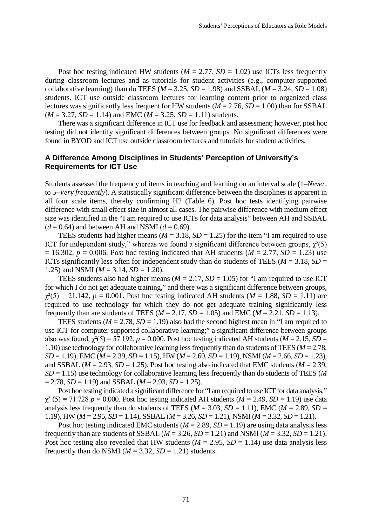Post hoc testing indicated HW students ( $M = 2.77$ ,  $SD = 1.02$ ) use ICTs less frequently during classroom lectures and as tutorials for student activities (e.g., computer-supported collaborative learning) than do TEES ( $M = 3.25$ ,  $SD = 1.98$ ) and SSBAL ( $M = 3.24$ ,  $SD = 1.08$ ) students. ICT use outside classroom lectures for learning content prior to organized class lectures was significantly less frequent for HW students  $(M = 2.76, SD = 1.00)$  than for SSBAL  $(M = 3.27, SD = 1.14)$  and EMC  $(M = 3.25, SD = 1.11)$  students.

There was a significant difference in ICT use for feedback and assessment; however, post hoc testing did not identify significant differences between groups. No significant differences were found in BYOD and ICT use outside classroom lectures and tutorials for student activities.

### **A Difference Among Disciplines in Students' Perception of University's Requirements for ICT Use**

Students assessed the frequency of items in teaching and learning on an interval scale (1–*Never*, to 5–*Very frequently*). A statistically significant difference between the disciplines is apparent in all four scale items, thereby confirming H2 (Table 6). Post hoc tests identifying pairwise difference with small effect size in almost all cases. The pairwise difference with medium effect size was identified in the "I am required to use ICTs for data analysis" between AH and SSBAL  $(d = 0.64)$  and between AH and NSMI ( $d = 0.69$ ).

TEES students had higher means ( $M = 3.18$ ,  $SD = 1.25$ ) for the item "I am required to use ICT for independent study," whereas we found a significant difference between groups,  $\chi^2(5)$  $= 16.302$ ,  $p = 0.006$ . Post hoc testing indicated that AH students ( $M = 2.77$ ,  $SD = 1.23$ ) use ICTs significantly less often for independent study than do students of TEES ( $M = 3.18$ ,  $SD =$ 1.25) and NSMI ( $M = 3.14$ ,  $SD = 1.20$ ).

TEES students also had higher means ( $M = 2.17$ ,  $SD = 1.05$ ) for "I am required to use ICT for which I do not get adequate training," and there was a significant difference between groups,  $\gamma^{2}(5) = 21.142$ ,  $p = 0.001$ . Post hoc testing indicated AH students ( $M = 1.88$ ,  $SD = 1.11$ ) are required to use technology for which they do not get adequate training significantly less frequently than are students of TEES ( $M = 2.17$ ,  $SD = 1.05$ ) and EMC ( $M = 2.21$ ,  $SD = 1.13$ ).

TEES students ( $M = 2.78$ ,  $SD = 1.19$ ) also had the second highest mean in "I am required to use ICT for computer supported collaborative learning;" a significant difference between groups also was found,  $\chi^2(5) = 57.192$ ,  $p = 0.000$ . Post hoc testing indicated AH students ( $M = 2.15$ ,  $SD =$ 1.10) use technology for collaborative learning less frequently than do students of TEES (*M* = 2.78, *SD* = 1.19), EMC (*M* = 2.39, *SD* = 1.15), HW (*M* = 2.60, *SD* = 1.19), NSMI (*M* = 2.66, *SD* = 1.23), and SSBAL ( $M = 2.93$ ,  $SD = 1.25$ ). Post hoc testing also indicated that EMC students ( $M = 2.39$ , *SD* = 1.15) use technology for collaborative learning less frequently than do students of TEES (*M*  $= 2.78$ , *SD* = 1.19) and *SSBAL* (*M* = 2.93, *SD* = 1.25).

Post hoc testing indicated a significant difference for "I am required to use ICT for data analysis,"  $\gamma^2$  (5) = 71.728 *p* = 0.000. Post hoc testing indicated AH students (*M* = 2.49, *SD* = 1.19) use data analysis less frequently than do students of TEES ( $M = 3.03$ ,  $SD = 1.11$ ), EMC ( $M = 2.89$ ,  $SD =$ 1.19), HW (*M* = 2.95, *SD* = 1.14), SSBAL (*M* = 3.26, *SD* = 1.21), NSMI (*M* = 3.32, *SD* = 1.21).

Post hoc testing indicated EMC students  $(M = 2.89, SD = 1.19)$  are using data analysis less frequently than are students of SSBAL ( $M = 3.26$ ,  $SD = 1.21$ ) and NSMI ( $M = 3.32$ ,  $SD = 1.21$ ). Post hoc testing also revealed that HW students ( $M = 2.95$ ,  $SD = 1.14$ ) use data analysis less frequently than do NSMI ( $M = 3.32$ ,  $SD = 1.21$ ) students.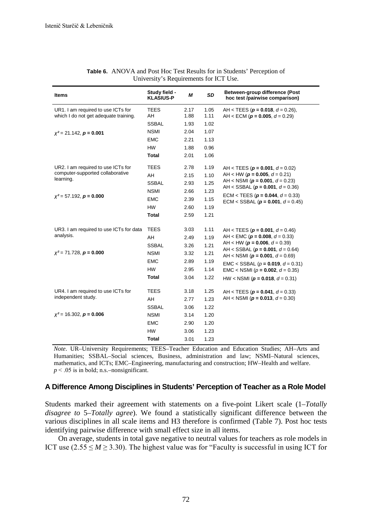| <b>Items</b>                                  | Study field -<br><b>KLASIUS-P</b> | М    | <b>SD</b> | Between-group difference (Post<br>hoc test /pairwise comparison)                    |
|-----------------------------------------------|-----------------------------------|------|-----------|-------------------------------------------------------------------------------------|
| UR1. I am required to use ICTs for            | TEES                              | 2.17 | 1.05      | AH < TEES ( $p = 0.018$ , $d = 0.26$ ),                                             |
| which I do not get adequate training.         | AH                                | 1.88 | 1.11      | AH < ECM ( $p = 0.005$ , $d = 0.29$ )                                               |
|                                               | <b>SSBAL</b>                      | 1.93 | 1.02      |                                                                                     |
| $x^2 = 21.142$ , $p = 0.001$                  | <b>NSMI</b>                       | 2.04 | 1.07      |                                                                                     |
|                                               | <b>EMC</b>                        | 2.21 | 1.13      |                                                                                     |
|                                               | HW                                | 1.88 | 0.96      |                                                                                     |
|                                               | Total                             | 2.01 | 1.06      |                                                                                     |
| UR2. I am required to use ICTs for            | <b>TEES</b>                       | 2.78 | 1.19      | AH < TEES ( $p = 0.001$ , $d = 0.02$ )                                              |
| computer-supported collaborative<br>learning. | AH                                | 2.15 | 1.10      | AH < HW ( $p = 0.005$ , $d = 0.21$ )                                                |
|                                               | <b>SSBAL</b>                      | 2.93 | 1.25      | AH < NSMI ( $p = 0.001$ , $d = 0.23$ )<br>AH < SSBAL ( $p = 0.001$ , $d = 0.36$ )   |
|                                               | <b>NSMI</b>                       | 2.66 | 1.23      |                                                                                     |
| $x^2 = 57.192$ , $p = 0.000$                  | <b>EMC</b>                        | 2.39 | 1.15      | ECM < TEES ( $p = 0.044$ , $d = 0.33$ )<br>ECM < SSBAL ( $p = 0.001$ , $d = 0.45$ ) |
|                                               | <b>HW</b>                         | 2.60 | 1.19      |                                                                                     |
|                                               | Total                             | 2.59 | 1.21      |                                                                                     |
| UR3. I am required to use ICTs for data       | <b>TEES</b>                       | 3.03 | 1.11      | AH < TEES ( $p = 0.001$ , $d = 0.46$ )                                              |
| analysis.                                     | AH                                | 2.49 | 1.19      | AH < EMC ( $p = 0.008$ , $d = 0.33$ )                                               |
|                                               | <b>SSBAL</b>                      | 3.26 | 1.21      | AH < HW ( $p = 0.006$ , $d = 0.39$ )                                                |
| $x^2 = 71.728$ , $p = 0.000$                  | <b>NSMI</b>                       | 3.32 | 1.21      | AH < SSBAL ( $p = 0.001$ , $d = 0.64$ )<br>AH < NSMI ( $p = 0.001$ , $d = 0.69$ )   |
|                                               | <b>EMC</b>                        | 2.89 | 1.19      | $EMC <$ SSBAL ( $p = 0.019$ , $d = 0.31$ )                                          |
|                                               | <b>HW</b>                         | 2.95 | 1.14      | EMC < NSMI ( $p = 0.002$ , $d = 0.35$ )                                             |
|                                               | <b>Total</b>                      | 3.04 | 1.22      | HW < NSMI ( $p = 0.018$ , $d = 0.31$ )                                              |
| UR4. I am required to use ICTs for            | <b>TEES</b>                       | 3.18 | 1.25      | AH < TEES ( $p = 0.041$ , $d = 0.33$ )                                              |
| independent study.                            | AH                                | 2.77 | 1.23      | AH < NSMI ( $p = 0.013$ , $d = 0.30$ )                                              |
|                                               | <b>SSBAL</b>                      | 3.06 | 1.22      |                                                                                     |
| $x^2$ = 16.302, $p = 0.006$                   | <b>NSMI</b>                       | 3.14 | 1.20      |                                                                                     |
|                                               | <b>EMC</b>                        | 2.90 | 1.20      |                                                                                     |
|                                               | <b>HW</b>                         | 3.06 | 1.23      |                                                                                     |
|                                               | <b>Total</b>                      | 3.01 | 1.23      |                                                                                     |

| <b>Table 6.</b> ANOVA and Post Hoc Test Results for in Students' Perception of |  |
|--------------------------------------------------------------------------------|--|
| University's Requirements for ICT Use.                                         |  |

*Note*. UR–University Requirements; TEES–Teacher Education and Education Studies; AH–Arts and Humanities; SSBAL–Social sciences, Business, administration and law; NSMI–Natural sciences, mathematics, and ICTs; EMC–Engineering, manufacturing and construction; HW–Health and welfare.  $p < .05$  is in bold; n.s.–nonsignificant.

#### **A Difference Among Disciplines in Students' Perception of Teacher as a Role Model**

Students marked their agreement with statements on a five-point Likert scale (1–*Totally disagree to* 5–*Totally agree*). We found a statistically significant difference between the various disciplines in all scale items and H3 therefore is confirmed (Table 7). Post hoc tests identifying pairwise difference with small effect size in all items.

On average, students in total gave negative to neutral values for teachers as role models in ICT use  $(2.55 \leq M \geq 3.30)$ . The highest value was for "Faculty is successful in using ICT for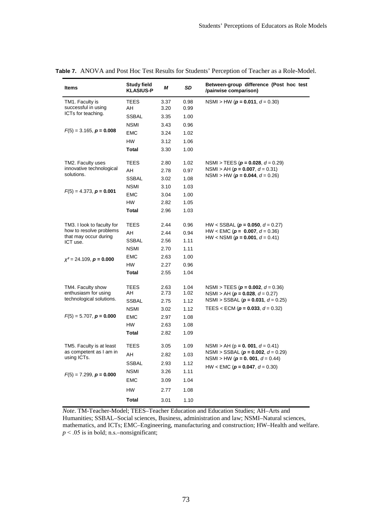| <b>Items</b>                                                 | <b>Study field</b><br><b>KLASIUS-P</b> | М            | SD           | Between-group difference (Post hoc test<br>/pairwise comparison)                    |
|--------------------------------------------------------------|----------------------------------------|--------------|--------------|-------------------------------------------------------------------------------------|
| TM1. Faculty is<br>successful in using                       | <b>TEES</b><br>AH                      | 3.37<br>3.20 | 0.98<br>0.99 | NSMI > HW ( $p = 0.011$ , $d = 0.30$ )                                              |
| ICTs for teaching.                                           | <b>SSBAL</b>                           | 3.35         | 1.00         |                                                                                     |
|                                                              | <b>NSMI</b>                            | 3.43         | 0.96         |                                                                                     |
| $F(5) = 3.165$ , $p = 0.008$                                 | EMC                                    | 3.24         | 1.02         |                                                                                     |
|                                                              | <b>HW</b>                              | 3.12         | 1.06         |                                                                                     |
|                                                              | Total                                  | 3.30         | 1.00         |                                                                                     |
| TM2. Faculty uses                                            | TEES                                   | 2.80         | 1.02         | NSMI > TEES ( $p = 0.028$ , $d = 0.29$ )                                            |
| innovative technological<br>solutions.                       | AH                                     | 2.78         | 0.97         | NSMI > AH ( $p = 0.007$ , $d = 0.31$ )<br>NSMI > HW ( $p = 0.044$ , $d = 0.26$ )    |
|                                                              | <b>SSBAL</b>                           | 3.02         | 1.08         |                                                                                     |
| $F(5) = 4.373$ , $p = 0.001$                                 | <b>NSMI</b>                            | 3.10         | 1.03         |                                                                                     |
|                                                              | <b>EMC</b>                             | 3.04         | 1.00         |                                                                                     |
|                                                              | <b>HW</b>                              | 2.82         | 1.05         |                                                                                     |
|                                                              | Total                                  | 2.96         | 1.03         |                                                                                     |
| TM3. I look to faculty for                                   | TEES                                   | 2.44         | 0.96         | HW < SSBAL ( $p = 0.050$ , $d = 0.27$ )                                             |
| how to resolve problems<br>that may occur during<br>ICT use. | AH                                     | 2.44         | 0.94         | HW < EMC ( $p = 0.007$ , $d = 0.36$ )<br>HW < NSMI ( $p = 0.001$ , $d = 0.41$ )     |
|                                                              | <b>SSBAL</b>                           | 2.56         | 1.11         |                                                                                     |
|                                                              | <b>NSMI</b>                            | 2.70         | 1.11         |                                                                                     |
| $x^2 = 24.109$ , $p = 0.000$                                 | <b>EMC</b>                             | 2.63         | 1.00         |                                                                                     |
|                                                              | <b>HW</b>                              | 2.27         | 0.96         |                                                                                     |
|                                                              | <b>Total</b>                           | 2.55         | 1.04         |                                                                                     |
| TM4. Faculty show                                            | <b>TEES</b>                            | 2.63         | 1.04         | NSMI > TEES ( $p = 0.002$ , $d = 0.36$ )                                            |
| enthusiasm for using<br>technological solutions.             | AH                                     | 2.73         | 1.02         | NSMI > AH ( $p = 0.028$ , $d = 0.27$ )<br>NSMI > SSBAL ( $p = 0.031$ , $d = 0.25$ ) |
|                                                              | SSBAL<br><b>NSMI</b>                   | 2.75<br>3.02 | 1.12<br>1.12 | TEES < ECM ( $p = 0.033$ , $d = 0.32$ )                                             |
| $F(5) = 5.707$ , $p = 0.000$                                 | <b>EMC</b>                             | 2.97         | 1.08         |                                                                                     |
|                                                              | <b>HW</b>                              | 2.63         | 1.08         |                                                                                     |
|                                                              | <b>Total</b>                           | 2.82         | 1.09         |                                                                                     |
|                                                              |                                        |              |              |                                                                                     |
| TM5. Faculty is at least                                     | <b>TEES</b>                            | 3.05         | 1.09         | NSMI > AH ( $p = 0.001$ , $d = 0.41$ )                                              |
| as competent as I am in<br>using ICTs.                       | AH                                     | 2.82         | 1.03         | NSMI > SSBAL ( $p = 0.002$ , $d = 0.29$ )                                           |
|                                                              | <b>SSBAL</b>                           | 2.93         | 1.12         | NSMI > HW ( $p = 0.001$ , $d = 0.44$ )                                              |
| $F(5) = 7.299$ , $p = 0.000$                                 | <b>NSMI</b>                            | 3.26         | 1.11         | HW < EMC ( $p = 0.047$ , $d = 0.30$ )                                               |
|                                                              | <b>EMC</b>                             | 3.09         | 1.04         |                                                                                     |
|                                                              | HW                                     | 2.77         | 1.08         |                                                                                     |
|                                                              | <b>Total</b>                           | 3.01         | 1.10         |                                                                                     |

**Table 7.** ANOVA and Post Hoc Test Results for Students' Perception of Teacher as a Role-Model.

*Note*. TM-Teacher-Model; TEES–Teacher Education and Education Studies; AH–Arts and Humanities; SSBAL–Social sciences, Business, administration and law; NSMI–Natural sciences, mathematics, and ICTs; EMC–Engineering, manufacturing and construction; HW–Health and welfare.  $p < .05$  is in bold; n.s.–nonsignificant;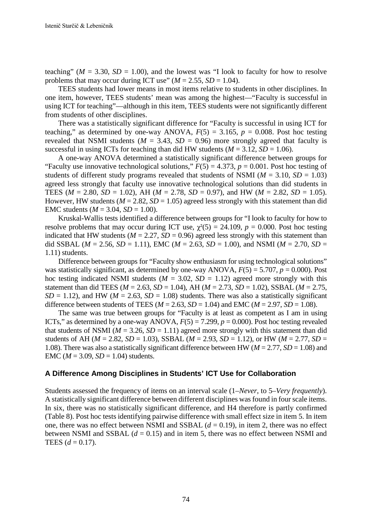teaching" ( $M = 3.30$ ,  $SD = 1.00$ ), and the lowest was "I look to faculty for how to resolve problems that may occur during ICT use"  $(M = 2.55, SD = 1.04)$ .

TEES students had lower means in most items relative to students in other disciplines. In one item, however, TEES students' mean was among the highest—"Faculty is successful in using ICT for teaching"—although in this item, TEES students were not significantly different from students of other disciplines.

There was a statistically significant difference for "Faculty is successful in using ICT for teaching," as determined by one-way ANOVA,  $F(5) = 3.165$ ,  $p = 0.008$ . Post hoc testing revealed that NSMI students ( $M = 3.43$ ,  $SD = 0.96$ ) more strongly agreed that faculty is successful in using ICTs for teaching than did HW students  $(M = 3.12, SD = 1.06)$ .

A one-way ANOVA determined a statistically significant difference between groups for "Faculty use innovative technological solutions,"  $F(5) = 4.373$ ,  $p = 0.001$ . Post hoc testing of students of different study programs revealed that students of NSMI ( $M = 3.10$ ,  $SD = 1.03$ ) agreed less strongly that faculty use innovative technological solutions than did students in TEES ( $M = 2.80$ ,  $SD = 1.02$ ), AH ( $M = 2.78$ ,  $SD = 0.97$ ), and HW ( $M = 2.82$ ,  $SD = 1.05$ ). However, HW students ( $M = 2.82$ ,  $SD = 1.05$ ) agreed less strongly with this statement than did EMC students ( $M = 3.04$ ,  $SD = 1.00$ ).

Kruskal-Wallis tests identified a difference between groups for "I look to faculty for how to resolve problems that may occur during ICT use,  $\chi^2(5) = 24.109$ ,  $p = 0.000$ . Post hoc testing indicated that HW students ( $M = 2.27$ ,  $SD = 0.96$ ) agreed less strongly with this statement than did SSBAL ( $M = 2.56$ ,  $SD = 1.11$ ), EMC ( $M = 2.63$ ,  $SD = 1.00$ ), and NSMI ( $M = 2.70$ ,  $SD =$ 1.11) students.

Difference between groups for "Faculty show enthusiasm for using technological solutions" was statistically significant, as determined by one-way ANOVA,  $F(5) = 5.707$ ,  $p = 0.000$ ). Post hoc testing indicated NSMI students ( $M = 3.02$ ,  $SD = 1.12$ ) agreed more strongly with this statement than did TEES (*M* = 2.63, *SD* = 1.04), AH (*M* = 2.73, *SD* = 1.02), SSBAL (*M* = 2.75,  $SD = 1.12$ ), and HW ( $M = 2.63$ ,  $SD = 1.08$ ) students. There was also a statistically significant difference between students of TEES ( $M = 2.63$ ,  $SD = 1.04$ ) and EMC ( $M = 2.97$ ,  $SD = 1.08$ ).

The same was true between groups for "Faculty is at least as competent as I am in using ICTs," as determined by a one-way ANOVA,  $F(5) = 7.299$ ,  $p = 0.000$ ). Post hoc testing revealed that students of NSMI ( $M = 3.26$ ,  $SD = 1.11$ ) agreed more strongly with this statement than did students of AH ( $M = 2.82$ ,  $SD = 1.03$ ), SSBAL ( $M = 2.93$ ,  $SD = 1.12$ ), or HW ( $M = 2.77$ ,  $SD =$ 1.08). There was also a statistically significant difference between HW (*M* = 2.77, *SD* = 1.08) and EMC ( $M = 3.09$ ,  $SD = 1.04$ ) students.

### **A Difference Among Disciplines in Students' ICT Use for Collaboration**

Students assessed the frequency of items on an interval scale (1–*Never*, to 5–*Very frequently*). A statistically significant difference between different disciplines was found in four scale items. In six, there was no statistically significant difference, and H4 therefore is partly confirmed (Table 8). Post hoc tests identifying pairwise difference with small effect size in item 5. In item one, there was no effect between NSMI and SSBAL  $(d = 0.19)$ , in item 2, there was no effect between NSMI and SSBAL  $(d = 0.15)$  and in item 5, there was no effect between NSMI and TEES  $(d = 0.17)$ .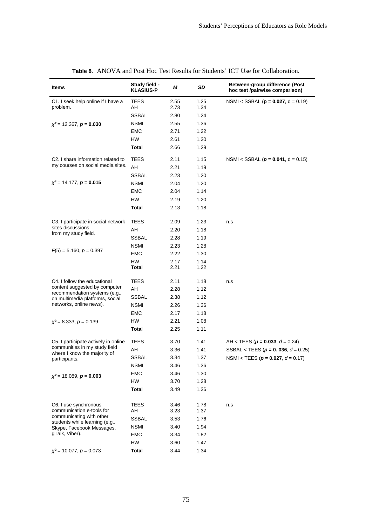| Items                                                                          | Study field -<br><b>KLASIUS-P</b> | М            | SD           | Between-group difference (Post<br>hoc test /pairwise comparison) |
|--------------------------------------------------------------------------------|-----------------------------------|--------------|--------------|------------------------------------------------------------------|
| C1. I seek help online if I have a<br>problem.                                 | TEES                              | 2.55         | 1.25         | NSMI < SSBAL ( $p = 0.027$ , $d = 0.19$ )                        |
|                                                                                | AΗ                                | 2.73         | 1.34         |                                                                  |
|                                                                                | <b>SSBAL</b>                      | 2.80         | 1.24         |                                                                  |
| $\chi^2$ = 12.367, <b>p</b> = <b>0.030</b>                                     | <b>NSMI</b>                       | 2.55         | 1.36         |                                                                  |
|                                                                                | EMC                               | 2.71         | 1.22         |                                                                  |
|                                                                                | HW                                | 2.61         | 1.30         |                                                                  |
|                                                                                | Total                             | 2.66         | 1.29         |                                                                  |
| C2. I share information related to                                             | TEES                              | 2.11         | 1.15         | NSMI < SSBAL ( $p = 0.041$ , d = 0.15)                           |
| my courses on social media sites.                                              | AH                                | 2.21         | 1.19         |                                                                  |
|                                                                                | SSBAL                             | 2.23         | 1.20         |                                                                  |
| $\chi^2$ = 14.177, <b>p</b> = <b>0.015</b>                                     | <b>NSMI</b>                       | 2.04         | 1.20         |                                                                  |
|                                                                                | EMC                               | 2.04         | 1.14         |                                                                  |
|                                                                                | HW                                | 2.19         | 1.20         |                                                                  |
|                                                                                | Total                             | 2.13         | 1.18         |                                                                  |
| C3. I participate in social network                                            | <b>TEES</b>                       | 2.09         | 1.23         | n.s                                                              |
| sites discussions                                                              | AH                                | 2.20         | 1.18         |                                                                  |
| from my study field.                                                           | <b>SSBAL</b>                      | 2.28         | 1.19         |                                                                  |
|                                                                                | <b>NSMI</b>                       | 2.23         | 1.28         |                                                                  |
| $F(5) = 5.160, p = 0.397$                                                      | EMC                               | 2.22         | 1.30         |                                                                  |
|                                                                                | HW                                | 2.17         | 1.14         |                                                                  |
|                                                                                | Total                             | 2.21         | 1.22         |                                                                  |
| C4. I follow the educational                                                   | <b>TEES</b>                       | 2.11         | 1.18         | n.s                                                              |
| content suggested by computer                                                  | AH                                | 2.28         | 1.12         |                                                                  |
| recommendation systems (e.g.,<br>on multimedia platforms, social               | <b>SSBAL</b>                      | 2.38         | 1.12         |                                                                  |
| networks, online news).                                                        | <b>NSMI</b>                       | 2.26         | 1.36         |                                                                  |
|                                                                                | <b>EMC</b>                        | 2.17         | 1.18         |                                                                  |
| $\chi^2$ = 8.333, p = 0.139                                                    | HW                                | 2.21         | 1.08         |                                                                  |
|                                                                                | Total                             | 2.25         | 1.11         |                                                                  |
| C5. I participate actively in online                                           | TEES                              | 3.70         | 1.41         | AH < TEES ( $p = 0.033$ , $d = 0.24$ )                           |
| communities in my study field                                                  | AH                                | 3.36         | 1.41         | SSBAL < TEES ( $p = 0$ . 036, $d = 0.25$ )                       |
| where I know the majority of<br>participants.                                  | <b>SSBAL</b>                      | 3.34         | 1.37         | NSMI < TEES ( $p = 0.027$ , $d = 0.17$ )                         |
|                                                                                | <b>NSMI</b>                       | 3.46         | 1.36         |                                                                  |
| $\chi^2$ = 18.089, <b>p = 0.003</b>                                            | EMC                               | 3.46         | 1.30         |                                                                  |
|                                                                                | <b>HW</b>                         | 3.70         | 1.28         |                                                                  |
|                                                                                | <b>Total</b>                      | 3.49         | 1.36         |                                                                  |
|                                                                                | <b>TEES</b>                       |              |              |                                                                  |
| C6. I use synchronous<br>communication e-tools for<br>communicating with other | AΗ                                | 3.46<br>3.23 | 1.78<br>1.37 | n.s                                                              |
|                                                                                | <b>SSBAL</b>                      | 3.53         | 1.76         |                                                                  |
| students while learning (e.g.,<br>Skype, Facebook Messages,                    | <b>NSMI</b>                       | 3.40         | 1.94         |                                                                  |
| gTalk, Viber).                                                                 | <b>EMC</b>                        | 3.34         | 1.82         |                                                                  |
|                                                                                | HW                                | 3.60         | 1.47         |                                                                  |
| $\chi^2$ = 10.077, $p = 0.073$                                                 | <b>Total</b>                      | 3.44         | 1.34         |                                                                  |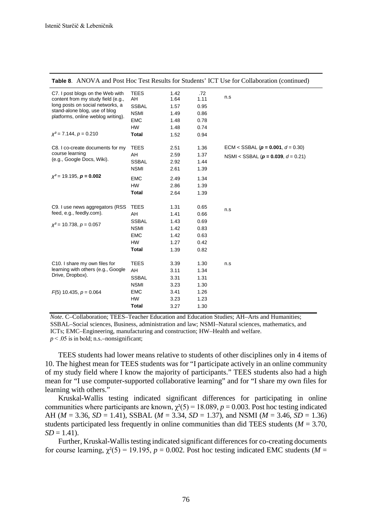|                                                                                                            |                                   |                      |                     | <b>Table 8.</b> ANOVA and Post Hoc Test Results for Students' ICT Use for Collaboration (continued) |
|------------------------------------------------------------------------------------------------------------|-----------------------------------|----------------------|---------------------|-----------------------------------------------------------------------------------------------------|
| C7. I post blogs on the Web with<br>content from my study field (e.g.,<br>long posts on social networks, a | <b>TEES</b><br>AH<br><b>SSBAL</b> | 1.42<br>1.64<br>1.57 | .72<br>1.11<br>0.95 | n.s                                                                                                 |
| stand-alone blog, use of blog<br>platforms, online weblog writing).                                        | <b>NSMI</b>                       | 1.49                 | 0.86                |                                                                                                     |
|                                                                                                            | <b>EMC</b>                        | 1.48                 | 0.78                |                                                                                                     |
|                                                                                                            | <b>HW</b>                         | 1.48                 | 0.74                |                                                                                                     |
| $x^2$ = 7.144, $p = 0.210$                                                                                 | <b>Total</b>                      | 1.52                 | 0.94                |                                                                                                     |
| C8. I co-create documents for my                                                                           | <b>TEES</b>                       | 2.51                 | 1.36                | ECM < SSBAL ( $p = 0.001$ , $d = 0.30$ )                                                            |
| course learning                                                                                            | AH                                | 2.59                 | 1.37                | NSMI < SSBAL ( $p = 0.039$ , $d = 0.21$ )                                                           |
| (e.g., Google Docs, Wiki).                                                                                 | <b>SSBAL</b>                      | 2.92                 | 1.44                |                                                                                                     |
|                                                                                                            | <b>NSMI</b>                       | 2.61                 | 1.39                |                                                                                                     |
| $x^2$ = 19.195, $p = 0.002$                                                                                | <b>EMC</b>                        | 2.49                 | 1.34                |                                                                                                     |
|                                                                                                            | <b>HW</b>                         | 2.86                 | 1.39                |                                                                                                     |
|                                                                                                            | <b>Total</b>                      | 2.64                 | 1.39                |                                                                                                     |
| C9. I use news aggregators (RSS)                                                                           | <b>TEES</b>                       | 1.31                 | 0.65                |                                                                                                     |
| feed, e.g., feedly.com).                                                                                   | AH                                | 1.41                 | 0.66                | n.s                                                                                                 |
|                                                                                                            | <b>SSBAL</b>                      | 1.43                 | 0.69                |                                                                                                     |
| $x^2$ = 10.738, $p = 0.057$                                                                                | <b>NSMI</b>                       | 1.42                 | 0.83                |                                                                                                     |
|                                                                                                            | <b>EMC</b>                        | 1.42                 | 0.63                |                                                                                                     |
|                                                                                                            | <b>HW</b>                         | 1.27                 | 0.42                |                                                                                                     |
|                                                                                                            | <b>Total</b>                      | 1.39                 | 0.82                |                                                                                                     |
|                                                                                                            |                                   |                      |                     |                                                                                                     |
| C10. I share my own files for<br>learning with others (e.g., Google<br>Drive, Dropbox).                    | <b>TEES</b>                       | 3.39                 | 1.30                | n.s                                                                                                 |
|                                                                                                            | AH                                | 3.11                 | 1.34                |                                                                                                     |
|                                                                                                            | <b>SSBAL</b>                      | 3.31                 | 1.31                |                                                                                                     |
|                                                                                                            | <b>NSMI</b>                       | 3.23                 | 1.30                |                                                                                                     |
| $F(5)$ 10.435, $p = 0.064$                                                                                 | <b>EMC</b>                        | 3.41                 | 1.26                |                                                                                                     |
|                                                                                                            | <b>HW</b>                         | 3.23                 | 1.23                |                                                                                                     |
|                                                                                                            | <b>Total</b>                      | 3.27                 | 1.30                |                                                                                                     |

**Table 8**. ANOVA and Post Hoc Test Results for Students' ICT Use for Collaboration (continued)

*Note*. C–Collaboration; TEES–Teacher Education and Education Studies; AH–Arts and Humanities; SSBAL–Social sciences, Business, administration and law; NSMI–Natural sciences, mathematics, and ICTs; EMC–Engineering, manufacturing and construction; HW–Health and welfare.  $p \leq 0.05$  is in bold; n.s.–nonsignificant;

TEES students had lower means relative to students of other disciplines only in 4 items of 10. The highest mean for TEES students was for "I participate actively in an online community of my study field where I know the majority of participants." TEES students also had a high mean for "I use computer-supported collaborative learning" and for "I share my own files for learning with others."

Kruskal-Wallis testing indicated significant differences for participating in online communities where participants are known,  $\chi^2(5) = 18.089$ ,  $p = 0.003$ . Post hoc testing indicated AH ( $M = 3.36$ ,  $SD = 1.41$ ), SSBAL ( $M = 3.34$ ,  $SD = 1.37$ ), and NSMI ( $M = 3.46$ ,  $SD = 1.36$ ) students participated less frequently in online communities than did TEES students ( $M = 3.70$ ,  $SD = 1.41$ .

Further, Kruskal-Wallis testing indicated significant differences for co-creating documents for course learning,  $\chi^2(5) = 19.195$ ,  $p = 0.002$ . Post hoc testing indicated EMC students (*M* =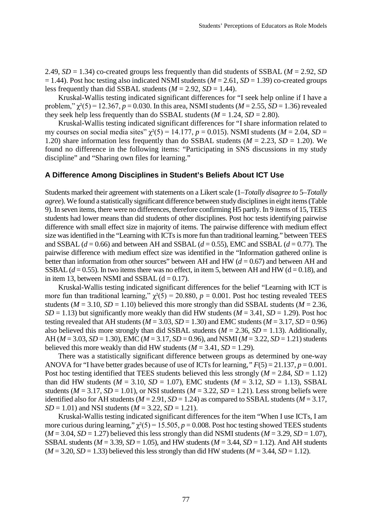2.49, *SD* = 1.34) co-created groups less frequently than did students of SSBAL (*M* = 2.92, *SD*  $= 1.44$ ). Post hoc testing also indicated NSMI students ( $M = 2.61$ ,  $SD = 1.39$ ) co-created groups less frequently than did SSBAL students  $(M = 2.92, SD = 1.44)$ .

Kruskal-Wallis testing indicated significant differences for "I seek help online if I have a problem,"  $\gamma^2(5) = 12.367$ ,  $p = 0.030$ . In this area, NSMI students ( $M = 2.55$ ,  $SD = 1.36$ ) revealed they seek help less frequently than do SSBAL students  $(M = 1.24, SD = 2.80)$ .

Kruskal-Wallis testing indicated significant differences for "I share information related to my courses on social media sites"  $\chi^2(5) = 14.177$ ,  $p = 0.015$ ). NSMI students ( $M = 2.04$ ,  $SD =$ 1.20) share information less frequently than do SSBAL students ( $M = 2.23$ ,  $SD = 1.20$ ). We found no difference in the following items: "Participating in SNS discussions in my study discipline" and "Sharing own files for learning."

#### **A Difference Among Disciplines in Student's Beliefs About ICT Use**

Students marked their agreement with statements on a Likert scale (1–*Totally disagree to* 5–*Totally agree*). We found a statistically significant difference between study disciplines in eight items (Table 9). In seven items, there were no differences, therefore confirming H5 partly. In 9 items of 15, TEES students had lower means than did students of other disciplines. Post hoc tests identifying pairwise difference with small effect size in majority of items. The pairwise difference with medium effect size was identified in the "Learning with ICTs is more fun than traditional learning." between TEES and SSBAL ( $d = 0.66$ ) and between AH and SSBAL ( $d = 0.55$ ), EMC and SSBAL ( $d = 0.77$ ). The pairwise difference with medium effect size was identified in the "Information gathered online is better than information from other sources" between AH and HW  $(d = 0.67)$  and between AH and SSBAL  $(d = 0.55)$ . In two items there was no effect, in item 5, between AH and HW ( $d = 0.18$ ), and in item 13, between NSMI and SSBAL  $(d = 0.17)$ .

Kruskal-Wallis testing indicated significant differences for the belief "Learning with ICT is more fun than traditional learning,"  $\chi^2(5) = 20.880$ ,  $p = 0.001$ . Post hoc testing revealed TEES students ( $M = 3.10$ ,  $SD = 1.10$ ) believed this more strongly than did SSBAL students ( $M = 2.36$ , *SD* = 1.13) but significantly more weakly than did HW students ( $M = 3.41$ , *SD* = 1.29). Post hoc testing revealed that AH students ( $M = 3.03$ ,  $SD = 1.30$ ) and EMC students ( $M = 3.17$ ,  $SD = 0.96$ ) also believed this more strongly than did SSBAL students ( $M = 2.36$ ,  $SD = 1.13$ ). Additionally, AH (*M* = 3.03, *SD* = 1.30), EMC (*M* = 3.17, *SD* = 0.96), and NSMI (*M* = 3.22, *SD* = 1.21) students believed this more weakly than did HW students  $(M = 3.41, SD = 1.29)$ .

There was a statistically significant difference between groups as determined by one-way ANOVA for "I have better grades because of use of ICTs for learning,*" F*(5) = 21.137, *p* = 0.001. Post hoc testing identified that TEES students believed this less strongly  $(M = 2.84, SD = 1.12)$ than did HW students ( $M = 3.10$ ,  $SD = 1.07$ ), EMC students ( $M = 3.12$ ,  $SD = 1.13$ ), SSBAL students ( $M = 3.17$ ,  $SD = 1.01$ ), or NSI students ( $M = 3.22$ ,  $SD = 1.21$ ). Less strong beliefs were identified also for AH students ( $M = 2.91$ ,  $SD = 1.24$ ) as compared to SSBAL students ( $M = 3.17$ ,  $SD = 1.01$  and NSI students ( $M = 3.22$ ,  $SD = 1.21$ ).

Kruskal-Wallis testing indicated significant differences for the item "When I use ICTs, I am more curious during learning,"  $\chi^2(5) = 15.505$ ,  $p = 0.008$ . Post hoc testing showed TEES students  $(M = 3.04, SD = 1.27)$  believed this less strongly than did NSMI students  $(M = 3.29, SD = 1.07)$ , SSBAL students ( $M = 3.39$ ,  $SD = 1.05$ ), and HW students ( $M = 3.44$ ,  $SD = 1.12$ ). And AH students  $(M = 3.20, SD = 1.33)$  believed this less strongly than did HW students  $(M = 3.44, SD = 1.12)$ .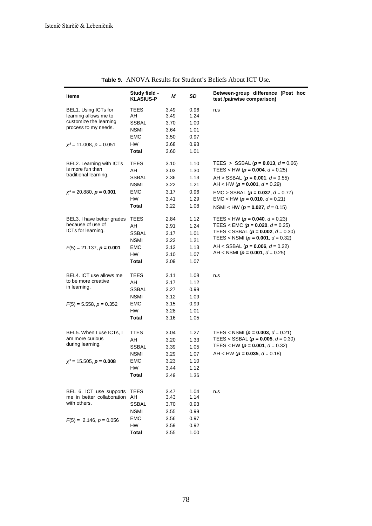| Items                                                                 | Study field -<br><b>KLASIUS-P</b> | М            | SD           | Between-group difference (Post hoc<br>test /pairwise comparison) |
|-----------------------------------------------------------------------|-----------------------------------|--------------|--------------|------------------------------------------------------------------|
| BEL1. Using ICTs for<br>learning allows me to                         | TEES<br>AH                        | 3.49<br>3.49 | 0.96<br>1.24 | n.s                                                              |
| customize the learning                                                | SSBAL                             | 3.70         | 1.00         |                                                                  |
| process to my needs.                                                  | NSMI                              | 3.64         | 1.01         |                                                                  |
|                                                                       | EMC                               | 3.50         | 0.97         |                                                                  |
| $\chi^2$ = 11.008, $p$ = 0.051                                        | HW                                | 3.68         | 0.93         |                                                                  |
|                                                                       | <b>Total</b>                      | 3.60         | 1.01         |                                                                  |
|                                                                       |                                   |              |              |                                                                  |
| BEL2. Learning with ICTs                                              | <b>TEES</b>                       | 3.10         | 1.10         | TEES > SSBAL ( $p = 0.013$ , $d = 0.66$ )                        |
| is more fun than                                                      | AH                                | 3.03         | 1.30         | TEES < HW ( $p = 0.004$ , $d = 0.25$ )                           |
| traditional learning.                                                 | <b>SSBAL</b>                      | 2.36         | 1.13         | AH > SSBAL ( $p = 0.001$ , $d = 0.55$ )                          |
|                                                                       | NSMI                              | 3.22         | 1.21         | AH < HW ( $p = 0.001$ , $d = 0.29$ )                             |
| $\chi^2$ = 20.880, <b>p = 0.001</b>                                   | EMC                               | 3.17         | 0.96         | $EMC > SSBAL (p = 0.037, d = 0.77)$                              |
|                                                                       | HW                                | 3.41         | 1.29         | EMC < HW ( $p = 0.010$ , $d = 0.21$ )                            |
|                                                                       | Total                             | 3.22         | 1.08         | NSMI < HW ( $p = 0.027$ , $d = 0.15$ )                           |
|                                                                       |                                   |              |              |                                                                  |
| BEL3. I have better grades                                            | TEES                              | 2.84         | 1.12         | TEES < HW ( $p = 0.040$ , $d = 0.23$ )                           |
| because of use of                                                     | AH                                | 2.91         | 1.24         | TEES < EMC $(p = 0.020, d = 0.25)$                               |
| ICTs for learning.                                                    | SSBAL                             | 3.17         | 1.01         | TEES < SSBAL ( $p = 0.002$ , $d = 0.30$ )                        |
|                                                                       | NSMI                              | 3.22         | 1.21         | TEES < NSMI ( $p = 0.001$ , $d = 0.32$ )                         |
| $F(5) = 21.137$ , $p = 0.001$                                         | EMC                               | 3.12         | 1.13         | AH < SSBAL ( $p = 0.006$ , $d = 0.22$ )                          |
|                                                                       | HW                                | 3.10         | 1.07         | AH < NSMI ( $p = 0.001$ , $d = 0.25$ )                           |
|                                                                       | Total                             | 3.09         | 1.07         |                                                                  |
|                                                                       |                                   |              |              |                                                                  |
| BEL4. ICT use allows me<br>to be more creative                        | TEES                              | 3.11         | 1.08         | n.s                                                              |
| in learning.                                                          | AH                                | 3.17         | 1.12         |                                                                  |
|                                                                       | <b>SSBAL</b>                      | 3.27         | 0.99         |                                                                  |
|                                                                       | NSMI                              | 3.12         | 1.09         |                                                                  |
| $F(5) = 5.558, p = 0.352$                                             | EMC                               | 3.15         | 0.99         |                                                                  |
|                                                                       | HW                                | 3.28         | 1.01         |                                                                  |
|                                                                       | Total                             | 3.16         | 1.05         |                                                                  |
| BEL5. When I use ICTs, I                                              | TTES                              | 3.04         | 1.27         | TEES < NSMI ( $p = 0.003$ , $d = 0.21$ )                         |
| am more curious                                                       | AH                                | 3.20         | 1.33         | TEES < SSBAL ( $p = 0.005$ , $d = 0.30$ )                        |
| during learning.                                                      | SSBAL                             | 3.39         | 1.05         | TEES < HW ( $p = 0.001$ , $d = 0.32$ )                           |
|                                                                       | NSMI                              | 3.29         | 1.07         | AH < HW ( $p = 0.035$ , $d = 0.18$ )                             |
| $\chi^2$ = 15.505, <b>p</b> = <b>0.008</b>                            | EMC                               | 3.23         | 1.10         |                                                                  |
|                                                                       | HW                                | 3.44         | 1.12         |                                                                  |
|                                                                       | Total                             | 3.49         | 1.36         |                                                                  |
|                                                                       |                                   |              |              |                                                                  |
| BEL 6. ICT use supports<br>me in better collaboration<br>with others. | TEES                              | 3.47         | 1.04         | n.s                                                              |
|                                                                       | AH                                | 3.43         | 1.14         |                                                                  |
|                                                                       | <b>SSBAL</b>                      | 3.70         | 0.93         |                                                                  |
|                                                                       | <b>NSMI</b>                       | 3.55         | 0.99         |                                                                  |
| $F(5) = 2.146, p = 0.056$                                             | <b>EMC</b>                        | 3.56         | 0.97         |                                                                  |
|                                                                       | HW                                | 3.59         | 0.92         |                                                                  |
|                                                                       | <b>Total</b>                      | 3.55         | 1.00         |                                                                  |

**Table 9.** ANOVA Results for Student's Beliefs About ICT Use.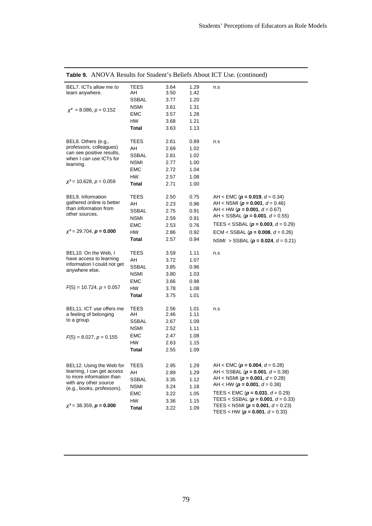| BEL7. ICTs allow me to<br>learn anywhere.            | TEES<br>AΗ   | 3.64<br>3.50 | 1.29<br>1.42 | n.s                                                                                |
|------------------------------------------------------|--------------|--------------|--------------|------------------------------------------------------------------------------------|
|                                                      | SSBAL        | 3.77         | 1.20         |                                                                                    |
|                                                      | <b>NSMI</b>  | 3.61         | 1.31         |                                                                                    |
| $x^2 = 8.086$ , $p = 0.152$                          | EMC          | 3.57         | 1.28         |                                                                                    |
|                                                      | <b>HW</b>    | 3.68         | 1.21         |                                                                                    |
|                                                      | Total        | 3.63         | 1.13         |                                                                                    |
|                                                      |              |              |              |                                                                                    |
| BEL8. Others (e.g.,                                  | TEES         | 2.61         | 0.89         | n.s                                                                                |
| professors, colleagues)                              | AH           | 2.69         | 1.02         |                                                                                    |
| can see positive results,<br>when I can use ICTs for | SSBAL        | 2.81         | 1.02         |                                                                                    |
| learning.                                            | <b>NSMI</b>  | 2.77         | 1.00         |                                                                                    |
|                                                      | <b>EMC</b>   | 2.72         | 1.04         |                                                                                    |
|                                                      | <b>HW</b>    | 2.57         | 1.08         |                                                                                    |
| $x^2$ = 10.628, $p = 0.059$                          | Total        | 2.71         | 1.00         |                                                                                    |
|                                                      |              |              |              |                                                                                    |
| BEL9. Information                                    | TEES         | 2.50         | 0.75         | AH < EMC ( $p = 0.019$ , $d = 0.34$ )                                              |
| gathered online is better                            | AH           | 2.23         | 0.96         | AH < NSMI ( $p = 0.001$ , $d = 0.46$ )                                             |
| than information from                                | <b>SSBAL</b> | 2.75         | 0.91         | AH < HW ( $p = 0.001$ , $d = 0.67$ )                                               |
| other sources.                                       | <b>NSMI</b>  | 2.59         | 0.91         | AH < SSBAL ( $p = 0.001$ , $d = 0.55$ )                                            |
|                                                      | EMC          | 2.53         | 0.76         | TEES < SSBAL ( $p = 0.003$ , $d = 0.29$ )                                          |
| $x^2 = 29.704$ , $p = 0.000$                         | <b>HW</b>    | 2.86         | 0.92         | ECM < SSBAL ( $p = 0.008$ , $d = 0.26$ )                                           |
|                                                      | Total        | 2.57         | 0.94         | NSMI > SSBAL ( $p = 0.024$ , $d = 0.21$ )                                          |
|                                                      |              |              |              |                                                                                    |
| BEL10. On the Web, I                                 | TEES         | 3.59         | 1.11         | n.s                                                                                |
| have access to learning                              | AH           | 3.72         | 1.07         |                                                                                    |
| information I could not get<br>anywhere else.        | SSBAL        | 3.85         | 0.96         |                                                                                    |
|                                                      | <b>NSMI</b>  | 3.80         | 1.03         |                                                                                    |
|                                                      | EMC          | 3.66         | 0.98         |                                                                                    |
| $F(5) = 10.724, p = 0.057$                           | <b>HW</b>    | 3.78         | 1.08         |                                                                                    |
|                                                      | Total        | 3.75         | 1.01         |                                                                                    |
|                                                      |              |              |              |                                                                                    |
| BEL11. ICT use offers me                             | TEES         | 2.56         | 1.01         | n.s                                                                                |
| a feeling of belonging                               | AH           | 2.46         | 1.11         |                                                                                    |
| to a group.                                          | SSBAL        | 2.67         | 1.09         |                                                                                    |
|                                                      | <b>NSMI</b>  | 2.52         | 1.11         |                                                                                    |
| $F(5) = 8.027, p = 0.155$                            | EMC          | 2.47         | 1.08         |                                                                                    |
|                                                      | HW           | 2.63         | 1.15         |                                                                                    |
|                                                      | Total        | 2.55         | 1.09         |                                                                                    |
|                                                      |              |              |              |                                                                                    |
| BEL12. Using the Web for                             | TEES         | 2.95         | 1.29         | AH < EMC ( $p = 0.004$ , $d = 0.28$ )                                              |
| learning, I can get access                           | AH           | 2.89         | 1.29         | AH < SSBAL ( $p = 0.001$ , $d = 0.38$ )                                            |
| to more information than                             | <b>SSBAL</b> | 3.35         | 1.12         | AH < NSMI ( $p = 0.001$ , $d = 0.28$ )                                             |
| with any other source<br>(e.g., books, professors).  | <b>NSMI</b>  | 3.24         | 1.18         | AH < HW ( $p = 0.001$ , $d = 0.38$ )                                               |
|                                                      | <b>EMC</b>   | 3.22         | 1.05         | TEES < EMC ( $p = 0.031$ , $d = 0.29$ )                                            |
|                                                      | HW           | 3.36         | 1.15         | TEES < SSBAL ( $p = 0.001$ , $d = 0.33$ )                                          |
| $\chi^2$ = 38.359, <b>p</b> = <b>0.000</b>           | Total        | 3.22         | 1.09         | TEES < NSMI ( $p = 0.001$ , $d = 0.23$ )<br>TEES < HW ( $p = 0.001$ , $d = 0.33$ ) |

**Table 9.** ANOVA Results for Student's Beliefs About ICT Use. (continued)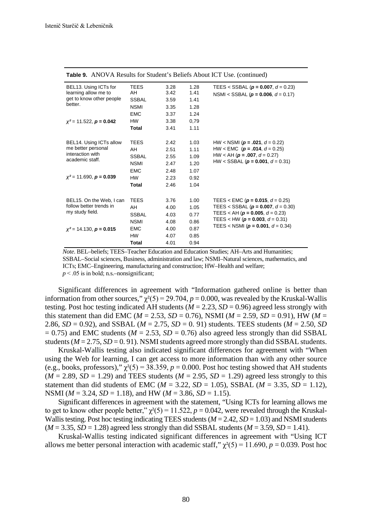| BEL13. Using ICTs for                                                                                   | <b>TEES</b>  | 3.28 | 1.28 | TEES < SSBAL ( $p = 0.007$ , $d = 0.23$ )                                                                                    |
|---------------------------------------------------------------------------------------------------------|--------------|------|------|------------------------------------------------------------------------------------------------------------------------------|
| learning allow me to<br>get to know other people<br>better.                                             | AH           | 3.42 | 1.41 | NSMI < SSBAL ( $p = 0.006$ , $d = 0.17$ )                                                                                    |
|                                                                                                         | <b>SSBAL</b> | 3.59 | 1.41 |                                                                                                                              |
|                                                                                                         | <b>NSMI</b>  | 3.35 | 1.28 |                                                                                                                              |
|                                                                                                         | <b>EMC</b>   | 3.37 | 1.24 |                                                                                                                              |
| $x^2$ = 11.522, <b>p</b> = 0.042                                                                        | HW           | 3.38 | 0,79 |                                                                                                                              |
|                                                                                                         | Total        | 3.41 | 1.11 |                                                                                                                              |
|                                                                                                         |              |      |      |                                                                                                                              |
| BEL14. Using ICTs allow                                                                                 | <b>TEES</b>  | 2.42 | 1.03 | HW < NSMI ( $p = .021$ , $d = 0.22$ )                                                                                        |
| me better personal<br>interaction with<br>academic staff.<br>$\chi^2$ = 11.690, <b>p</b> = <b>0.039</b> | AH           | 2.51 | 1.11 | HW < EMC $(p = .014, d = 0.25)$                                                                                              |
|                                                                                                         | <b>SSBAL</b> | 2.55 | 1.09 | HW < AH $(p = .007, d = 0.27)$                                                                                               |
|                                                                                                         | <b>NSMI</b>  | 2.47 | 1.20 | HW < SSBAL ( $p = 0.001$ , $d = 0.31$ )                                                                                      |
|                                                                                                         | <b>EMC</b>   | 2.48 | 1.07 |                                                                                                                              |
|                                                                                                         | <b>HW</b>    | 2.23 | 0.92 |                                                                                                                              |
|                                                                                                         | Total        | 2.46 | 1.04 |                                                                                                                              |
|                                                                                                         |              |      |      |                                                                                                                              |
| BEL15. On the Web, I can<br>follow better trends in<br>my study field.<br>$x^2$ = 14.130, $p = 0.015$   | <b>TEES</b>  | 3.76 | 1.00 | TEES < EMC ( $p = 0.015$ , $d = 0.25$ )                                                                                      |
|                                                                                                         | AH           | 4.00 | 1.05 | TEES < SSBAL ( $p = 0.007$ , $d = 0.30$ )                                                                                    |
|                                                                                                         | <b>SSBAL</b> | 4.03 | 0.77 | TEES < AH ( $p = 0.005$ , $d = 0.23$ )<br>TEES < HW ( $p = 0.003$ , $d = 0.31$ )<br>TEES < NSMI ( $p = 0.001$ , $d = 0.34$ ) |
|                                                                                                         | <b>NSMI</b>  | 4.08 | 0.86 |                                                                                                                              |
|                                                                                                         | <b>EMC</b>   | 4.00 | 0.87 |                                                                                                                              |
|                                                                                                         | <b>HW</b>    | 4.07 | 0.85 |                                                                                                                              |
|                                                                                                         | Total        | 4.01 | 0.94 |                                                                                                                              |

**Table 9.** ANOVA Results for Student's Beliefs About ICT Use. (continued)

*Note*. BEL–beliefs; TEES–Teacher Education and Education Studies; AH–Arts and Humanities; SSBAL–Social sciences, Business, administration and law; NSMI–Natural sciences, mathematics, and ICTs; EMC–Engineering, manufacturing and construction; HW–Health and welfare;  $p < .05$  is in bold; n.s.–nonsignificant;

Significant differences in agreement with "Information gathered online is better than information from other sources,"  $\gamma^2(5) = 29.704$ ,  $p = 0.000$ , was revealed by the Kruskal-Wallis testing. Post hoc testing indicated AH students ( $M = 2.23$ ,  $SD = 0.96$ ) agreed less strongly with this statement than did EMC ( $M = 2.53$ ,  $SD = 0.76$ ), NSMI ( $M = 2.59$ ,  $SD = 0.91$ ), HW ( $M =$ 2.86, *SD* = 0.92), and *SSBAL* ( $M = 2.75$ , *SD* = 0.91) students. TEES students ( $M = 2.50$ , *SD*  $= 0.75$ ) and EMC students ( $M = 2.53$ ,  $SD = 0.76$ ) also agreed less strongly than did SSBAL students ( $M = 2.75$ ,  $SD = 0.91$ ). NSMI students agreed more strongly than did SSBAL students.

Kruskal-Wallis testing also indicated significant differences for agreement with "When using the Web for learning, I can get access to more information than with any other source (e.g., books, professors),"  $\chi^2(5) = 38.359$ ,  $p = 0.000$ . Post hoc testing showed that AH students  $(M = 2.89, SD = 1.29)$  and TEES students  $(M = 2.95, SD = 1.29)$  agreed less strongly to this statement than did students of EMC ( $M = 3.22$ ,  $SD = 1.05$ ), SSBAL ( $M = 3.35$ ,  $SD = 1.12$ ), NSMI (*M* = 3.24, *SD* = 1.18), and HW (*M* = 3.86, *SD* = 1.15).

Significant differences in agreement with the statement, "Using ICTs for learning allows me to get to know other people better,"  $\chi^2(5) = 11.522$ ,  $p = 0.042$ , were revealed through the Kruskal-Wallis testing. Post hoc testing indicating TEES students  $(M = 2.42, SD = 1.03)$  and NSMI students  $(M = 3.35, SD = 1.28)$  agreed less strongly than did SSBAL students  $(M = 3.59, SD = 1.41)$ .

Kruskal-Wallis testing indicated significant differences in agreement with "Using ICT allows me better personal interaction with academic staff,"  $\chi^2(5) = 11.690$ ,  $p = 0.039$ . Post hoc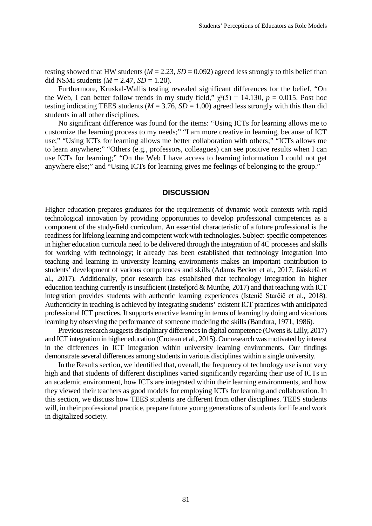testing showed that HW students ( $M = 2.23$ ,  $SD = 0.092$ ) agreed less strongly to this belief than did NSMI students  $(M = 2.47, SD = 1.20)$ .

Furthermore, Kruskal-Wallis testing revealed significant differences for the belief, "On the Web, I can better follow trends in my study field,"  $\chi^2(5) = 14.130$ ,  $p = 0.015$ . Post hoc testing indicating TEES students ( $M = 3.76$ ,  $SD = 1.00$ ) agreed less strongly with this than did students in all other disciplines.

No significant difference was found for the items: "Using ICTs for learning allows me to customize the learning process to my needs;" "I am more creative in learning, because of ICT use;" "Using ICTs for learning allows me better collaboration with others;" "ICTs allows me to learn anywhere;" "Others (e.g., professors, colleagues) can see positive results when I can use ICTs for learning;" "On the Web I have access to learning information I could not get anywhere else;" and "Using ICTs for learning gives me feelings of belonging to the group."

#### **DISCUSSION**

Higher education prepares graduates for the requirements of dynamic work contexts with rapid technological innovation by providing opportunities to develop professional competences as a component of the study-field curriculum. An essential characteristic of a future professional is the readiness for lifelong learning and competent work with technologies. Subject-specific competences in higher education curricula need to be delivered through the integration of 4C processes and skills for working with technology; it already has been established that technology integration into teaching and learning in university learning environments makes an important contribution to students' development of various competences and skills (Adams Becker et al., 2017; Jääskelä et al., 2017). Additionally, prior research has established that technology integration in higher education teaching currently is insufficient (Instefjord & Munthe, 2017) and that teaching with ICT integration provides students with authentic learning experiences (Istenič Starčič et al., 2018). Authenticity in teaching is achieved by integrating students' existent ICT practices with anticipated professional ICT practices. It supports enactive learning in terms of learning by doing and vicarious learning by observing the performance of someone modeling the skills (Bandura, 1971, 1986).

Previous research suggests disciplinary differences in digital competence (Owens & Lilly, 2017) and ICT integration in higher education (Croteau et al., 2015). Our research was motivated by interest in the differences in ICT integration within university learning environments. Our findings demonstrate several differences among students in various disciplines within a single university.

In the Results section, we identified that, overall, the frequency of technology use is not very high and that students of different disciplines varied significantly regarding their use of ICTs in an academic environment, how ICTs are integrated within their learning environments, and how they viewed their teachers as good models for employing ICTs for learning and collaboration. In this section, we discuss how TEES students are different from other disciplines. TEES students will, in their professional practice, prepare future young generations of students for life and work in digitalized society.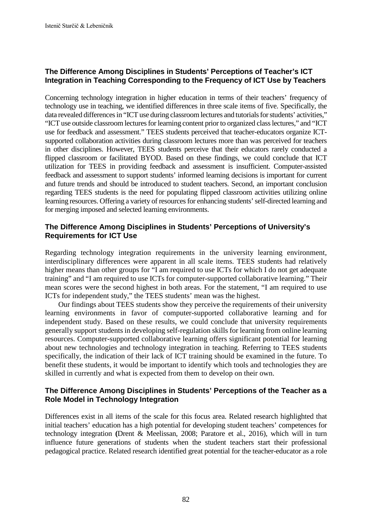# **The Difference Among Disciplines in Students' Perceptions of Teacher's ICT Integration in Teaching Corresponding to the Frequency of ICT Use by Teachers**

Concerning technology integration in higher education in terms of their teachers' frequency of technology use in teaching, we identified differences in three scale items of five. Specifically, the data revealed differences in "ICT use during classroom lectures and tutorials for students' activities," "ICT use outside classroom lectures for learning content prior to organized class lectures," and "ICT use for feedback and assessment." TEES students perceived that teacher-educators organize ICTsupported collaboration activities during classroom lectures more than was perceived for teachers in other disciplines. However, TEES students perceive that their educators rarely conducted a flipped classroom or facilitated BYOD. Based on these findings, we could conclude that ICT utilization for TEES in providing feedback and assessment is insufficient. Computer-assisted feedback and assessment to support students' informed learning decisions is important for current and future trends and should be introduced to student teachers. Second, an important conclusion regarding TEES students is the need for populating flipped classroom activities utilizing online learning resources. Offering a variety of resources for enhancing students'self-directed learning and for merging imposed and selected learning environments.

# **The Difference Among Disciplines in Students' Perceptions of University's Requirements for ICT Use**

Regarding technology integration requirements in the university learning environment, interdisciplinary differences were apparent in all scale items. TEES students had relatively higher means than other groups for "I am required to use ICTs for which I do not get adequate training" and "I am required to use ICTs for computer-supported collaborative learning." Their mean scores were the second highest in both areas. For the statement, "I am required to use ICTs for independent study," the TEES students' mean was the highest.

Our findings about TEES students show they perceive the requirements of their university learning environments in favor of computer-supported collaborative learning and for independent study. Based on these results, we could conclude that university requirements generally support students in developing self-regulation skills for learning from online learning resources. Computer-supported collaborative learning offers significant potential for learning about new technologies and technology integration in teaching. Referring to TEES students specifically, the indication of their lack of ICT training should be examined in the future. To benefit these students, it would be important to identify which tools and technologies they are skilled in currently and what is expected from them to develop on their own.

# **The Difference Among Disciplines in Students' Perceptions of the Teacher as a Role Model in Technology Integration**

Differences exist in all items of the scale for this focus area. Related research highlighted that initial teachers' education has a high potential for developing student teachers' competences for technology integration **(**Drent & Meelissan, 2008; Paratore et al., 2016), which will in turn influence future generations of students when the student teachers start their professional pedagogical practice. Related research identified great potential for the teacher-educator as a role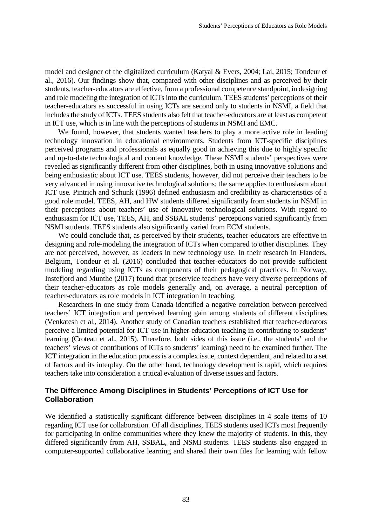model and designer of the digitalized curriculum (Katyal & Evers, 2004; Lai, 2015; Tondeur et al., 2016). Our findings show that, compared with other disciplines and as perceived by their students, teacher-educators are effective, from a professional competence standpoint, in designing and role modeling the integration of ICTs into the curriculum. TEES students' perceptions of their teacher-educators as successful in using ICTs are second only to students in NSMI, a field that includes the study of ICTs. TEES students also felt that teacher-educators are at least as competent in ICT use, which is in line with the perceptions of students in NSMI and EMC.

We found, however, that students wanted teachers to play a more active role in leading technology innovation in educational environments. Students from ICT-specific disciplines perceived programs and professionals as equally good in achieving this due to highly specific and up-to-date technological and content knowledge. These NSMI students' perspectives were revealed as significantly different from other disciplines, both in using innovative solutions and being enthusiastic about ICT use. TEES students, however, did not perceive their teachers to be very advanced in using innovative technological solutions; the same applies to enthusiasm about ICT use. Pintrich and Schunk (1996) defined enthusiasm and credibility as characteristics of a good role model. TEES, AH, and HW students differed significantly from students in NSMI in their perceptions about teachers' use of innovative technological solutions. With regard to enthusiasm for ICT use, TEES, AH, and SSBAL students' perceptions varied significantly from NSMI students. TEES students also significantly varied from ECM students.

We could conclude that, as perceived by their students, teacher-educators are effective in designing and role-modeling the integration of ICTs when compared to other disciplines. They are not perceived, however, as leaders in new technology use. In their research in Flanders, Belgium, Tondeur et al. (2016) concluded that teacher-educators do not provide sufficient modeling regarding using ICTs as components of their pedagogical practices. In Norway, Instefjord and Munthe (2017) found that preservice teachers have very diverse perceptions of their teacher-educators as role models generally and, on average, a neutral perception of teacher-educators as role models in ICT integration in teaching.

Researchers in one study from Canada identified a negative correlation between perceived teachers' ICT integration and perceived learning gain among students of different disciplines (Venkatesh et al., 2014). Another study of Canadian teachers established that teacher-educators perceive a limited potential for ICT use in higher-education teaching in contributing to students' learning (Croteau et al., 2015). Therefore, both sides of this issue (i.e., the students' and the teachers' views of contributions of ICTs to students' learning) need to be examined further. The ICT integration in the education process is a complex issue, context dependent, and related to a set of factors and its interplay. On the other hand, technology development is rapid, which requires teachers take into consideration a critical evaluation of diverse issues and factors.

### **The Difference Among Disciplines in Students' Perceptions of ICT Use for Collaboration**

We identified a statistically significant difference between disciplines in 4 scale items of 10 regarding ICT use for collaboration. Of all disciplines, TEES students used ICTs most frequently for participating in online communities where they knew the majority of students. In this, they differed significantly from AH, SSBAL, and NSMI students. TEES students also engaged in computer-supported collaborative learning and shared their own files for learning with fellow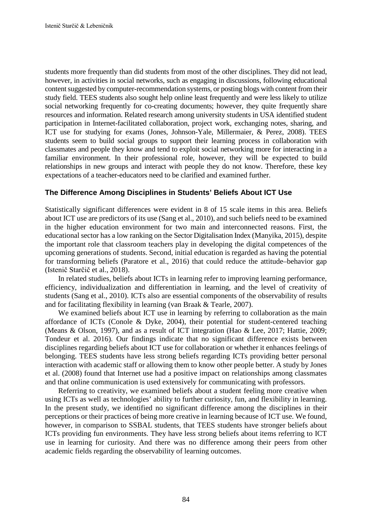students more frequently than did students from most of the other disciplines. They did not lead, however, in activities in social networks, such as engaging in discussions, following educational content suggested by computer-recommendation systems, or posting blogs with content from their study field. TEES students also sought help online least frequently and were less likely to utilize social networking frequently for co-creating documents; however, they quite frequently share resources and information. Related research among university students in USA identified student participation in Internet-facilitated collaboration, project work, exchanging notes, sharing, and ICT use for studying for exams (Jones, Johnson-Yale, Millermaier, & Perez, 2008). TEES students seem to build social groups to support their learning process in collaboration with classmates and people they know and tend to exploit social networking more for interacting in a familiar environment. In their professional role, however, they will be expected to build relationships in new groups and interact with people they do not know. Therefore, these key expectations of a teacher-educators need to be clarified and examined further.

# **The Difference Among Disciplines in Students' Beliefs About ICT Use**

Statistically significant differences were evident in 8 of 15 scale items in this area. Beliefs about ICT use are predictors of its use (Sang et al., 2010), and such beliefs need to be examined in the higher education environment for two main and interconnected reasons. First, the educational sector has a low ranking on the Sector Digitalisation Index (Manyika, 2015), despite the important role that classroom teachers play in developing the digital competences of the upcoming generations of students. Second, initial education is regarded as having the potential for transforming beliefs (Paratore et al., 2016) that could reduce the attitude–behavior gap (Istenič Starčič et al., 2018).

In related studies, beliefs about ICTs in learning refer to improving learning performance, efficiency, individualization and differentiation in learning, and the level of creativity of students (Sang et al., 2010). ICTs also are essential components of the observability of results and for facilitating flexibility in learning (van Braak & Tearle, 2007).

We examined beliefs about ICT use in learning by referring to collaboration as the main affordance of ICTs (Conole & Dyke, 2004), their potential for student-centered teaching (Means & Olson, 1997), and as a result of ICT integration (Hao & Lee, 2017; Hattie, 2009; Tondeur et al. 2016). Our findings indicate that no significant difference exists between disciplines regarding beliefs about ICT use for collaboration or whether it enhances feelings of belonging. TEES students have less strong beliefs regarding ICTs providing better personal interaction with academic staff or allowing them to know other people better. A study by Jones et al. (2008) found that Internet use had a positive impact on relationships among classmates and that online communication is used extensively for communicating with professors.

Referring to creativity, we examined beliefs about a student feeling more creative when using ICTs as well as technologies' ability to further curiosity, fun, and flexibility in learning. In the present study, we identified no significant difference among the disciplines in their perceptions or their practices of being more creative in learning because of ICT use. We found, however, in comparison to SSBAL students, that TEES students have stronger beliefs about ICTs providing fun environments. They have less strong beliefs about items referring to ICT use in learning for curiosity. And there was no difference among their peers from other academic fields regarding the observability of learning outcomes.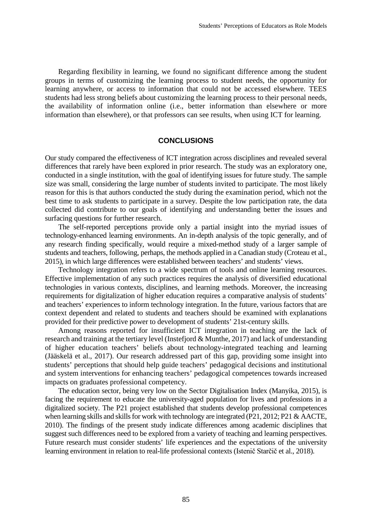Regarding flexibility in learning, we found no significant difference among the student groups in terms of customizing the learning process to student needs, the opportunity for learning anywhere, or access to information that could not be accessed elsewhere. TEES students had less strong beliefs about customizing the learning process to their personal needs, the availability of information online (i.e., better information than elsewhere or more information than elsewhere), or that professors can see results, when using ICT for learning.

#### **CONCLUSIONS**

Our study compared the effectiveness of ICT integration across disciplines and revealed several differences that rarely have been explored in prior research. The study was an exploratory one, conducted in a single institution, with the goal of identifying issues for future study. The sample size was small, considering the large number of students invited to participate. The most likely reason for this is that authors conducted the study during the examination period, which not the best time to ask students to participate in a survey. Despite the low participation rate, the data collected did contribute to our goals of identifying and understanding better the issues and surfacing questions for further research.

The self-reported perceptions provide only a partial insight into the myriad issues of technology-enhanced learning environments. An in-depth analysis of the topic generally, and of any research finding specifically, would require a mixed-method study of a larger sample of students and teachers, following, perhaps, the methods applied in a Canadian study (Croteau et al., 2015), in which large differences were established between teachers' and students' views.

Technology integration refers to a wide spectrum of tools and online learning resources. Effective implementation of any such practices requires the analysis of diversified educational technologies in various contexts, disciplines, and learning methods. Moreover, the increasing requirements for digitalization of higher education requires a comparative analysis of students' and teachers' experiences to inform technology integration. In the future, various factors that are context dependent and related to students and teachers should be examined with explanations provided for their predictive power to development of students' 21st-century skills.

Among reasons reported for insufficient ICT integration in teaching are the lack of research and training at the tertiary level (Instefjord & Munthe, 2017) and lack of understanding of higher education teachers' beliefs about technology-integrated teaching and learning (Jääskelä et al., 2017). Our research addressed part of this gap, providing some insight into students' perceptions that should help guide teachers' pedagogical decisions and institutional and system interventions for enhancing teachers' pedagogical competences towards increased impacts on graduates professional competency.

The education sector, being very low on the Sector Digitalisation Index (Manyika, 2015), is facing the requirement to educate the university-aged population for lives and professions in a digitalized society. The P21 project established that students develop professional competences when learning skills and skills for work with technology are integrated (P21, 2012; P21 & AACTE, 2010). The findings of the present study indicate differences among academic disciplines that suggest such differences need to be explored from a variety of teaching and learning perspectives. Future research must consider students' life experiences and the expectations of the university learning environment in relation to real-life professional contexts (Istenič Starčič et al., 2018).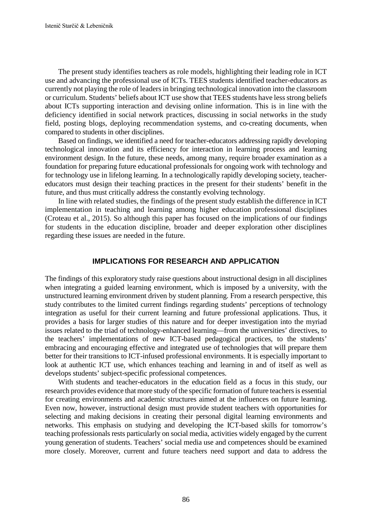The present study identifies teachers as role models, highlighting their leading role in ICT use and advancing the professional use of ICTs. TEES students identified teacher-educators as currently not playing the role of leaders in bringing technological innovation into the classroom or curriculum. Students' beliefs about ICT use show that TEES students have less strong beliefs about ICTs supporting interaction and devising online information. This is in line with the deficiency identified in social network practices, discussing in social networks in the study field, posting blogs, deploying recommendation systems, and co-creating documents, when compared to students in other disciplines.

Based on findings, we identified a need for teacher-educators addressing rapidly developing technological innovation and its efficiency for interaction in learning process and learning environment design. In the future, these needs, among many, require broader examination as a foundation for preparing future educational professionals for ongoing work with technology and for technology use in lifelong learning. In a technologically rapidly developing society, teachereducators must design their teaching practices in the present for their students' benefit in the future, and thus must critically address the constantly evolving technology.

In line with related studies, the findings of the present study establish the difference in ICT implementation in teaching and learning among higher education professional disciplines (Croteau et al., 2015). So although this paper has focused on the implications of our findings for students in the education discipline, broader and deeper exploration other disciplines regarding these issues are needed in the future.

#### **IMPLICATIONS FOR RESEARCH AND APPLICATION**

The findings of this exploratory study raise questions about instructional design in all disciplines when integrating a guided learning environment, which is imposed by a university, with the unstructured learning environment driven by student planning. From a research perspective, this study contributes to the limited current findings regarding students' perceptions of technology integration as useful for their current learning and future professional applications. Thus, it provides a basis for larger studies of this nature and for deeper investigation into the myriad issues related to the triad of technology-enhanced learning—from the universities' directives, to the teachers' implementations of new ICT-based pedagogical practices, to the students' embracing and encouraging effective and integrated use of technologies that will prepare them better for their transitions to ICT-infused professional environments. It is especially important to look at authentic ICT use, which enhances teaching and learning in and of itself as well as develops students' subject-specific professional competences.

With students and teacher-educators in the education field as a focus in this study, our research provides evidence that more study of the specific formation of future teachers is essential for creating environments and academic structures aimed at the influences on future learning. Even now, however, instructional design must provide student teachers with opportunities for selecting and making decisions in creating their personal digital learning environments and networks. This emphasis on studying and developing the ICT-based skills for tomorrow's teaching professionals rests particularly on social media, activities widely engaged by the current young generation of students. Teachers' social media use and competences should be examined more closely. Moreover, current and future teachers need support and data to address the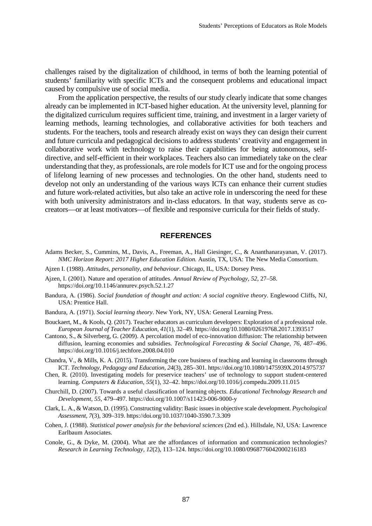challenges raised by the digitalization of childhood, in terms of both the learning potential of students' familiarity with specific ICTs and the consequent problems and educational impact caused by compulsive use of social media.

From the application perspective, the results of our study clearly indicate that some changes already can be implemented in ICT-based higher education. At the university level, planning for the digitalized curriculum requires sufficient time, training, and investment in a larger variety of learning methods, learning technologies, and collaborative activities for both teachers and students. For the teachers, tools and research already exist on ways they can design their current and future curricula and pedagogical decisions to address students' creativity and engagement in collaborative work with technology to raise their capabilities for being autonomous, selfdirective, and self-efficient in their workplaces. Teachers also can immediately take on the clear understanding that they, as professionals, are role models for ICT use and for the ongoing process of lifelong learning of new processes and technologies. On the other hand, students need to develop not only an understanding of the various ways ICTs can enhance their current studies and future work-related activities, but also take an active role in underscoring the need for these with both university administrators and in-class educators. In that way, students serve as cocreators—or at least motivators—of flexible and responsive curricula for their fields of study.

### **REFERENCES**

- Adams Becker, S., Cummins, M., Davis, A., Freeman, A., Hall Giesinger, C., & Ananthanarayanan, V. (2017). *NMC Horizon Report: 2017 Higher Education Edition.* Austin, TX, USA: The New Media Consortium.
- Ajzen I. (1988). *Attitudes, personality, and behaviour*. Chicago, IL, USA: Dorsey Press.
- Ajzen, I. (2001). Nature and operation of attitudes. *Annual Review of Psychology, 52*, 27–58. https://doi.org/10.1146/annurev.psych.52.1.27
- Bandura, A. (1986). *Social foundation of thought and action: A social cognitive theory*. Englewood Cliffs, NJ, USA: Prentice Hall.
- Bandura, A. (1971). *Social learning theory*. New York, NY, USA: General Learning Press.
- Bouckaert, M., & Kools, Q. (2017). Teacher educators as curriculum developers: Exploration of a professional role. *European Journal of Teacher Education, 41*(1), 32–49. https://doi.org/10.1080/02619768.2017.1393517
- Cantono, S., & Silverberg, G. (2009). A percolation model of eco-innovation diffusion: The relationship between diffusion, learning economies and subsidies. *Technological Forecasting & Social Change, 76,* 487–496. https://doi.org/10.1016/j.techfore.2008.04.010
- Chandra, V., & Mills, K. A. (2015). Transforming the core business of teaching and learning in classrooms through ICT. *Technology, Pedagogy and Education, 24*(3), 285–301. https://doi.org/10.1080/1475939X.2014.975737
- Chen, R. (2010). Investigating models for preservice teachers' use of technology to support student-centered learning. *Computers & Education, 55*(1), 32–42. https://doi.org/10.1016/j.compedu.2009.11.015
- Churchill, D. (2007). Towards a useful classification of learning objects. *Educational Technology Research and Development, 55*, 479–497. https://doi.org/10.1007/s11423-006-9000-y
- Clark, L. A., & Watson, D. (1995). Constructing validity: Basic issues in objective scale development. *Psychological Assessment, 7*(3), 309–319.<https://doi.org/10.1037/1040-3590.7.3.309>
- Cohen, J. (1988). *Statistical power analysis for the behavioral sciences* (2nd ed.). Hillsdale, NJ, USA: Lawrence Earlbaum Associates.
- Conole, G., & Dyke, M. (2004). What are the affordances of information and communication technologies? *Research in Learning Technology, 12*(2), 113–124. https://doi.org/10.1080/0968776042000216183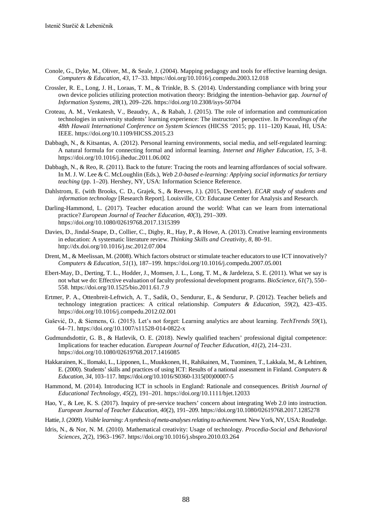- Conole, G., Dyke, M., Oliver, M., & Seale, J. (2004). Mapping pedagogy and tools for effective learning design. *Computers & Education, 43,* 17–33. https://doi.org/10.1016/j.compedu.2003.12.018
- Crossler, R. E., Long, J. H., Loraas, T. M., & Trinkle, B. S. (2014). Understanding compliance with bring your own device policies utilizing protection motivation theory: Bridging the intention–behavior gap. *Journal of Information Systems, 28*(1), 209–226. https://doi.org/10.2308/isys-50704
- Croteau, A. M., Venkatesh, V., Beaudry, A., & Rabah, J. (2015). The role of information and communication technologies in university students' learning experience: The instructors' perspective. In *Proceedings of the 48th Hawaii International Conference on System Sciences* (HICSS '2015; pp. 111–120) Kauai, HI, USA: IEEE. https://doi.org/10.1109/HICSS.2015.23
- Dabbagh, N., & Kitsantas, A. (2012). Personal learning environments, social media, and self-regulated learning: A natural formula for connecting formal and informal learning. *Internet and Higher Education, 15*, 3–8. https://doi.org/10.1016/j.iheduc.2011.06.002
- Dabbagh, N., & Reo, R. (2011). Back to the future: Tracing the roots and learning affordances of social software. In M. J. W. Lee & C. McLoughlin (Eds.), *Web 2.0-based e-learning: Applying social informatics for tertiary teaching* (pp. 1–20)*.* Hershey, NY, USA: Information Science Reference.
- Dahlstrom, E. (with Brooks, C. D., Grajek, S., & Reeves, J.). (2015, December). *ECAR study of students and information technology* [Research Report]. Louisville, CO: Educause Center for Analysis and Research.
- Darling-Hammond, L. (2017). Teacher education around the world: What can we learn from international practice? *European Journal of Teacher Education, 40*(3), 291–309. https://doi.org/10.1080/02619768.2017.1315399
- Davies, D., Jindal-Snape, D., Collier, C., Digby, R., Hay, P., & Howe, A. (2013). Creative learning environments in education: A systematic literature review. *Thinking Skills and Creativity, 8*, 80–91. http://dx.doi.org/10.1016/j.tsc.2012.07.004
- Drent, M., & Meelissan, M. (2008). Which factors obstruct or stimulate teacher educators to use ICT innovatively? *Computers & Education, 51*(1), 187–199. https://doi.org/10.1016/j.compedu.2007.05.001
- Ebert-May, D., Derting, T. L., Hodder, J., Momsen, J. L., Long, T. M., & Jardeleza, S. E. (2011). What we say is not what we do: Effective evaluation of faculty professional development programs. *BioScience, 61*(7), 550– 558. https://doi.org/10.1525/bio.2011.61.7.9
- Ertmer, P. A., Ottenbreit-Leftwich, A. T., Sadik, O., Sendurur, E., & Sendurur, P. (2012). Teacher beliefs and technology integration practices: A critical relationship. *Computers & Education, 59*(2), 423–435. https://doi.org/10.1016/j.compedu.2012.02.001
- Gašević, D., & Siemens, G. (2015). Let's not forget: Learning analytics are about learning. *TechTrends 59*(1), 64–71. https://doi.org/10.1007/s11528-014-0822-x
- Gudmundsdottir, G. B., & Hatlevik, O. E. (2018). Newly qualified teachers' professional digital competence: Implications for teacher education. *European Journal of Teacher Education, 41*(2), 214–231. https://doi.org/10.1080/02619768.2017.1416085
- Hakkarainen, K., Ilomaki, L., Lipponen, L., Muukkonen, H., Rahikainen, M., Tuominen, T., Lakkala, M., & Lehtinen, E. (2000). Students' skills and practices of using ICT: Results of a national assessment in Finland. *Computers & Education, 34*, 103–117. https://doi.org/10.1016/S0360-1315(00)00007-5
- Hammond, M. (2014). Introducing ICT in schools in England: Rationale and consequences. *British Journal of Educational Technology, 45*(2), 191–201. https://doi.org/10.1111/bjet.12033
- Hao, Y., & Lee, K. S. (2017). Inquiry of pre-service teachers' concern about integrating Web 2.0 into instruction. *European Journal of Teacher Education, 40*(2), 191–209. https://doi.org/10.1080/02619768.2017.1285278
- Hattie, J. (2009). *Visible learning: A synthesis of meta-analyses relating to achievement.* New York, NY, USA: Routledge.
- Idris, N., & Nor, N. M. (2010). Mathematical creativity: Usage of technology. *Procedia-Social and Behavioral Sciences, 2*(2), 1963–1967. https://doi.org/10.1016/j.sbspro.2010.03.264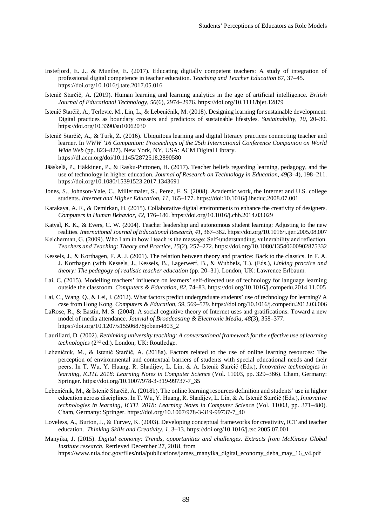- Instefjord, E. J., & Munthe, E. (2017). Educating digitally competent teachers: A study of integration of professional digital competence in teacher education. *Teaching and Teacher Education 67*, 37–45. https://doi.org/10.1016/j.tate.2017.05.016
- Istenič Starčič, A. (2019). Human learning and learning analytics in the age of artificial intelligence. *British Journal of Educational Technology*, *50*(6), 2974–2976. https://doi.org/10.1111/bjet.12879
- Istenič Starčič, A., Terlevic, M., Lin, L., & Lebeničnik, M. (2018). Designing learning for sustainable development: Digital practices as boundary crossers and predictors of sustainable lifestyles. *Sustainability*, *10*, 20–30. https://doi.org/10.3390/su10062030
- Istenič Starčič, A., & Turk, Z. (2016). Ubiquitous learning and digital literacy practices connecting teacher and learner. In *WWW '16 Companion: Proceedings of the 25th International Conference Companion on World Wide Web* (pp. 823–827). New York, NY, USA: ACM Digital Library. https://dl.acm.org/doi/10.1145/2872518.2890580
- Jääskelä, P., Häkkinen, P., & Rasku-Puttonen, H. (2017). Teacher beliefs regarding learning, pedagogy, and the use of technology in higher education. *Journal of Research on Technology in Education, 49*(3–4), 198–211. <https://doi.org/10.1080/15391523.2017.1343691>
- Jones, S., Johnson-Yale, C., Millermaier, S., Perez, F. S. (2008). Academic work, the Internet and U.S. college students. *Internet and Higher Education*, *11*, 165–177. https://doi:10.1016/j.iheduc.2008.07.001
- Karakaya, A. F., & Demirkan, H. (2015). Collaborative digital environments to enhance the creativity of designers. *Computers in Human Behavior, 42*, 176–186. https://doi.org/10.1016/j.chb.2014.03.029
- Katyal, K. K., & Evers, C. W. (2004). Teacher leadership and autonomous student learning: Adjusting to the new realities. *International Journal of Educational Research, 41*, 367–382. https://doi.org/10.1016/j.ijer.2005.08.007
- Kelcherman, G. (2009). Who I am in how I teach is the message: Self-understanding, vulnerability and reflection. *Teachers and Teaching*: *Theory and Practice, 15*(2), 257–272. https://doi.org/10.1080/13540600902875332
- Kessels, J., & Korthagen, F. A. J. (2001). The relation between theory and practice: Back to the classics. In F. A. J. Korthagen (with Kessels, J., Kessels, B., Lagerwerf, B., & Wubbels, T.). (Eds.), *Linking practice and theory: The pedagogy of realistic teacher education* (pp. 20–31). London, UK: Lawrence Erlbaum.
- Lai, C. (2015). Modelling teachers' influence on learners' self-directed use of technology for language learning outside the classroom. *Computers & Education, 82*, 74–83. https://doi.org/10.1016/j.compedu.2014.11.005
- Lai, C., Wang, Q., & Lei, J. (2012). What factors predict undergraduate students' use of technology for learning? A case from Hong Kong. *Computers & Education, 59*, 569–579. https://doi.org/10.1016/j.compedu.2012.03.006
- LaRose, R., & Eastin, M. S. (2004). A social cognitive theory of Internet uses and gratifications: Toward a new model of media attendance. *Journal of Broadcasting & Electronic Media, 48*(3), 358–377. https://doi.org/10.1207/s15506878jobem4803\_2
- Laurillard, D. (2002). *Rethinking university teaching: A conversational framework for the effective use of learning technologies* (2nd ed.). London, UK: Routledge.
- Lebeničnik, M., & Istenič Starčič, A. (2018a). Factors related to the use of online learning resources: The perception of environmental and contextual barriers of students with special educational needs and their peers. In T. Wu, Y. Huang, R. Shadijev, L. Lin, & A. Istenič Starčič (Eds.), *Innovative technologies in learning, ICITL 2018: Learning Notes in Computer Science* (Vol. 11003, pp. 329–366). Cham, Germany: Springer. https://doi.org/10.1007/978-3-319-99737-7\_35
- Lebeničnik, M., & Istenič Starčič, A. (2018b). The online learning resources definition and students' use in higher education across disciplines. In T. Wu, Y. Huang, R. Shadijev, L. Lin, & A. Istenič Starčič (Eds.), *Innovative technologies in learning, ICITL 2018: Learning Notes in Computer Science* (Vol. 11003, pp. 371–480). Cham, Germany: Springer. https://doi.org/10.1007/978-3-319-99737-7\_40
- Loveless, A., Burton, J., & Turvey, K. (2003). Developing conceptual frameworks for creativity, ICT and teacher education. *Thinking Skills and Creativity, 1*, 3–13. https://doi.org/10.1016/j.tsc.2005.07.001
- Manyika, J. (2015). *Digital economy: Trends, opportunities and challenges. Extracts from McKinsey Global Institute research.* Retrieved December 27, 2018, from [https://www.ntia.doc.gov/files/ntia/publications/james\\_manyika\\_digital\\_economy\\_deba\\_may\\_16\\_v4.pdf](https://www.ntia.doc.gov/files/ntia/publications/james_manyika_digital_economy_deba_may_16_v4.pdf)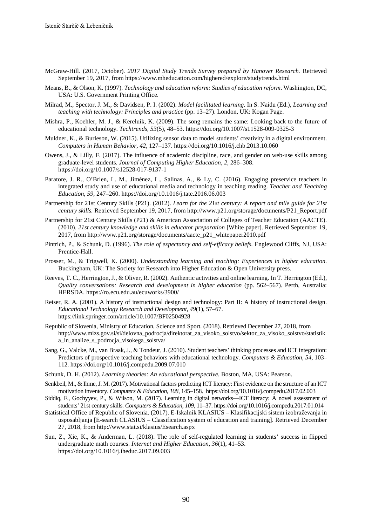- McGraw-Hill. (2017, October)*. 2017 Digital Study Trends Survey prepared by Hanover Research.* Retrieved September 19, 2017, fro[m https://www.mheducation.com/highered/explore/studytrends.html](https://www.mheducation.com/highered/explore/studytrends.html)
- Means, B., & Olson, K. (1997). *Technology and education reform: Studies of education reform*. Washington, DC, USA: U.S. Government Printing Office.
- Milrad, M., Spector, J. M., & Davidsen, P. I. (2002). *Model facilitated learning.* In S. Naidu (Ed.), *Learning and teaching with technology: Principles and practice* (pp. 13–27). London, UK: Kogan Page.
- Mishra, P., Koehler, M. J., & Kereluik, K. (2009). The song remains the same: Looking back to the future of educational technology. *Techtrends, 53*(5), 48–53. https://doi.org/10.1007/s11528-009-0325-3
- Muldner, K., & Burleson, W. (2015). Utilizing sensor data to model students' creativity in a digital environment. *Computers in Human Behavior, 42*, 127–137. https://doi.org/10.1016/j.chb.2013.10.060
- Owens, J., & Lilly, F. (2017). The influence of academic discipline, race, and gender on web-use skills among graduate-level students. *Journal of Computing Higher Education, 2*, 286–308. [https://doi.org/1](https://doi.org/)0.1007/s12528-017-9137-1
- Paratore, J. R., O'Brien, L. M., Jiménez, L., Salinas, A., & Ly, C. (2016). Engaging preservice teachers in integrated study and use of educational media and technology in teaching reading. *Teacher and Teaching Education, 59*, 247–260. https://doi.org/10.1016/j.tate.2016.06.003
- Partnership for 21st Century Skills (P21). (2012). *Learn for the 21st century: A report and mile guide for 21st century skills.* Retrieved September 19, 2017, from [http://www.p21.org/storage/documents/P21\\_Report.pdf](http://www.p21.org/storage/documents/P21_Report.pdf)
- Partnership for 21st Century Skills (P21) & American Association of Colleges of Teacher Education (AACTE). (2010). *21st century knowledge and skills in educator preparation* [White paper]. Retrieved September 19, 2017, from [http://www.p21.org/storage/documents/aacte\\_p21\\_whitepaper2010.pdf](http://www.p21.org/storage/documents/aacte_p21_whitepaper2010.pdf)
- Pintrich, P., & Schunk, D. (1996). *The role of expectancy and self-efficacy beliefs.* Englewood Cliffs, NJ, USA: Prentice-Hall.
- Prosser, M., & Trigwell, K. (2000). *Understanding learning and teaching: Experiences in higher education.* Buckingham, UK: The Society for Research into Higher Education & Open University press.
- Reeves, T. C., Herrington, J., & Oliver, R. (2002). Authentic activities and online learning. In T. Herrington (Ed.), *Quality conversations: Research and development in higher education* (pp. 562–567). Perth, Australia: HERSDA. https://ro.ecu.edu.au/ecuworks/3900/
- Reiser, R. A. (2001). A history of instructional design and technology: Part II: A history of instructional design. *Educational Technology Research and Development, 49*(1), 57–67. https://link.springer.com/article/10.1007/BF02504928
- Republic of Slovenia, Ministry of Education, Science and Sport. (2018). Retrieved December 27, 2018, from [http://www.mizs.gov.si/si/delovna\\_podrocja/direktorat\\_za\\_visoko\\_solstvo/sektor\\_za\\_visoko\\_solstvo/statistik](http://www.mizs.gov.si/si/delovna_podrocja/direktorat_za_visoko_solstvo/sektor_za_visoko_solstvo/statistika_in_analize_s_podrocja_visokega_solstva/) [a\\_in\\_analize\\_s\\_podrocja\\_visokega\\_solstva/](http://www.mizs.gov.si/si/delovna_podrocja/direktorat_za_visoko_solstvo/sektor_za_visoko_solstvo/statistika_in_analize_s_podrocja_visokega_solstva/)
- Sang, G., Valcke, M., van Braak, J., & Tondeur, J. (2010). Student teachers' thinking processes and ICT integration: Predictors of prospective teaching behaviors with educational technology. *Computers & Education, 54*, 103– 112. https://doi.org/10.1016/j.compedu.2009.07.010
- Schunk, D. H. (2012). *Learning theories: An educational perspective.* Boston, MA, USA: Pearson.
- Senkbeil, M., & Ihme, J. M. (2017). Motivational factors predicting ICT literacy: First evidence on the structure of an ICT motivation inventory. *Computers & Education, 108*, 145–158. https://doi.org/10.1016/j.compedu.2017.02.003
- Siddiq, F., Gochyyev, P., & Wilson, M. (2017). Learning in digital networks—ICT literacy: A novel assessment of students' 21st century skills. *Computers & Education, 109,* 11–37. https://doi.org/10.1016/j.compedu.2017.01.014
- Statistical Office of Republic of Slovenia. (2017). E-Iskalnik KLASIUS Klasifikacijski sistem izobraževanja in usposabljanja [E-search CLASIUS – Classification system of education and training]. Retrieved December 27, 2018, from<http://www.stat.si/klasius/Esearch.aspx>
- Sun, Z., Xie, K., & Anderman, L. (2018). The role of self-regulated learning in students' success in flipped undergraduate math courses. *Internet and Higher Education, 36*(1), 41–53. https://doi.org/10.1016/j.iheduc.2017.09.003